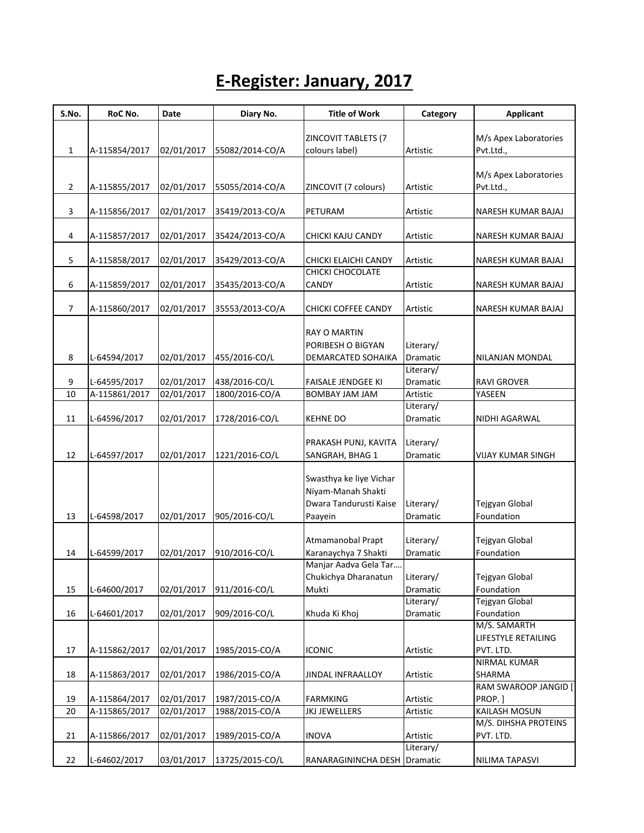## **E-Register: January, 2017**

| S.No.        | RoC No.       | Date       | Diary No.       | <b>Title of Work</b>         | Category              | <b>Applicant</b>              |
|--------------|---------------|------------|-----------------|------------------------------|-----------------------|-------------------------------|
|              |               |            |                 |                              |                       |                               |
|              |               |            |                 | ZINCOVIT TABLETS (7          |                       | M/s Apex Laboratories         |
| $\mathbf{1}$ | A-115854/2017 | 02/01/2017 | 55082/2014-CO/A | colours label)               | Artistic              | Pvt.Ltd.,                     |
|              |               |            |                 |                              |                       | M/s Apex Laboratories         |
| 2            | A-115855/2017 | 02/01/2017 | 55055/2014-CO/A | ZINCOVIT (7 colours)         | Artistic              | Pvt.Ltd.,                     |
|              |               |            |                 |                              |                       |                               |
| 3            | A-115856/2017 | 02/01/2017 | 35419/2013-CO/A | PETURAM                      | Artistic              | NARESH KUMAR BAJAJ            |
|              |               |            |                 |                              |                       |                               |
| 4            | A-115857/2017 | 02/01/2017 | 35424/2013-CO/A | CHICKI KAJU CANDY            | Artistic              | NARESH KUMAR BAJAJ            |
| 5            | A-115858/2017 | 02/01/2017 | 35429/2013-CO/A | CHICKI ELAICHI CANDY         | Artistic              | NARESH KUMAR BAJAJ            |
|              |               |            |                 | CHICKI CHOCOLATE             |                       |                               |
| 6            | A-115859/2017 | 02/01/2017 | 35435/2013-CO/A | <b>CANDY</b>                 | Artistic              | NARESH KUMAR BAJAJ            |
|              |               |            |                 |                              |                       |                               |
| 7            | A-115860/2017 | 02/01/2017 | 35553/2013-CO/A | CHICKI COFFEE CANDY          | Artistic              | NARESH KUMAR BAJAJ            |
|              |               |            |                 |                              |                       |                               |
|              |               |            |                 | <b>RAY O MARTIN</b>          |                       |                               |
|              |               |            |                 | PORIBESH O BIGYAN            | Literary/             |                               |
| 8            | L-64594/2017  | 02/01/2017 | 455/2016-CO/L   | DEMARCATED SOHAIKA           | Dramatic<br>Literary/ | NILANJAN MONDAL               |
| 9            | L-64595/2017  | 02/01/2017 | 438/2016-CO/L   | <b>FAISALE JENDGEE KI</b>    | Dramatic              | <b>RAVI GROVER</b>            |
| 10           | A-115861/2017 | 02/01/2017 | 1800/2016-CO/A  | BOMBAY JAM JAM               | Artistic              | YASEEN                        |
|              |               |            |                 |                              | Literary/             |                               |
| 11           | L-64596/2017  | 02/01/2017 | 1728/2016-CO/L  | <b>KEHNE DO</b>              | Dramatic              | NIDHI AGARWAL                 |
|              |               |            |                 |                              |                       |                               |
|              |               |            |                 | PRAKASH PUNJ, KAVITA         | Literary/             |                               |
| 12           | L-64597/2017  | 02/01/2017 | 1221/2016-CO/L  | SANGRAH, BHAG 1              | Dramatic              | VIJAY KUMAR SINGH             |
|              |               |            |                 |                              |                       |                               |
|              |               |            |                 | Swasthya ke liye Vichar      |                       |                               |
|              |               |            |                 | Niyam-Manah Shakti           |                       |                               |
|              |               |            |                 | Dwara Tandurusti Kaise       | Literary/             | Tejgyan Global                |
| 13           | L-64598/2017  | 02/01/2017 | 905/2016-CO/L   | Paayein                      | Dramatic              | Foundation                    |
|              |               |            |                 | Atmamanobal Prapt            | Literary/             | Tejgyan Global                |
| 14           | L-64599/2017  | 02/01/2017 | 910/2016-CO/L   | Karanaychya 7 Shakti         | Dramatic              | Foundation                    |
|              |               |            |                 | Manjar Aadva Gela Tar        |                       |                               |
|              |               |            |                 | Chukichya Dharanatun         | Literary/             | Tejgyan Global                |
| 15           | L-64600/2017  | 02/01/2017 | 911/2016-CO/L   | Mukti                        | Dramatic              | Foundation                    |
|              |               |            |                 |                              | Literary/             | Tejgyan Global                |
| 16           | L-64601/2017  | 02/01/2017 | 909/2016-CO/L   | Khuda Ki Khoj                | Dramatic              | Foundation                    |
|              |               |            |                 |                              |                       | M/S. SAMARTH                  |
|              |               |            |                 |                              |                       | LIFESTYLE RETAILING           |
| 17           | A-115862/2017 | 02/01/2017 | 1985/2015-CO/A  | <b>ICONIC</b>                | Artistic              | PVT. LTD.                     |
| 18           | A-115863/2017 | 02/01/2017 | 1986/2015-CO/A  | JINDAL INFRAALLOY            |                       | <b>NIRMAL KUMAR</b><br>SHARMA |
|              |               |            |                 |                              | Artistic              | RAM SWAROOP JANGID            |
| 19           | A-115864/2017 | 02/01/2017 | 1987/2015-CO/A  | <b>FARMKING</b>              | Artistic              | PROP.]                        |
| 20           | A-115865/2017 | 02/01/2017 | 1988/2015-CO/A  | <b>JKJ JEWELLERS</b>         | Artistic              | KAILASH MOSUN                 |
|              |               |            |                 |                              |                       | M/S. DIHSHA PROTEINS          |
| 21           | A-115866/2017 | 02/01/2017 | 1989/2015-CO/A  | <b>INOVA</b>                 | Artistic              | PVT. LTD.                     |
|              |               |            |                 |                              | Literary/             |                               |
| 22           | L-64602/2017  | 03/01/2017 | 13725/2015-CO/L | RANARAGININCHA DESH Dramatic |                       | NILIMA TAPASVI                |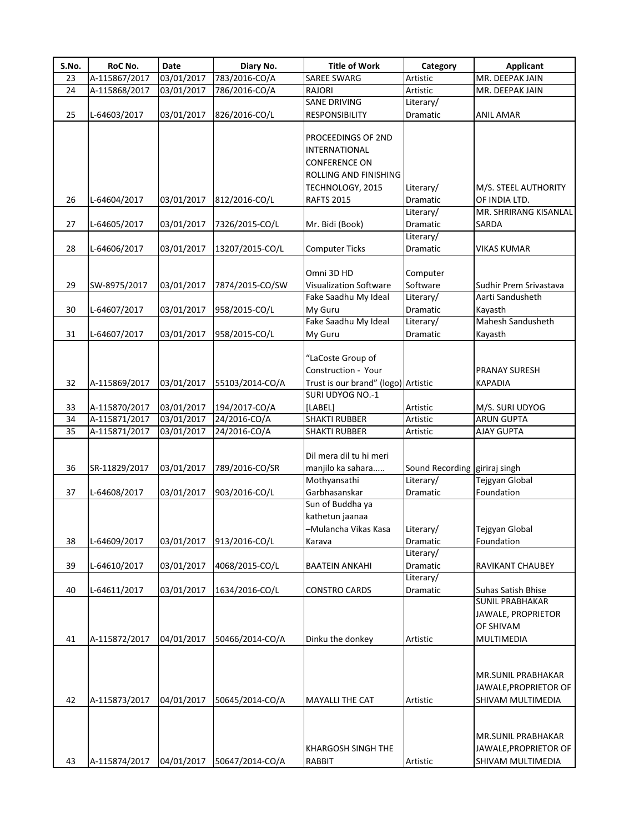| S.No. | RoC No.       | Date       | Diary No.       | <b>Title of Work</b>                | Category                      | <b>Applicant</b>       |
|-------|---------------|------------|-----------------|-------------------------------------|-------------------------------|------------------------|
| 23    | A-115867/2017 | 03/01/2017 | 783/2016-CO/A   | <b>SAREE SWARG</b>                  | Artistic                      | MR. DEEPAK JAIN        |
| 24    | A-115868/2017 | 03/01/2017 | 786/2016-CO/A   | <b>RAJORI</b>                       | Artistic                      | MR. DEEPAK JAIN        |
|       |               |            |                 | <b>SANE DRIVING</b>                 | Literary/                     |                        |
| 25    | L-64603/2017  | 03/01/2017 | 826/2016-CO/L   | RESPONSIBILITY                      | Dramatic                      | <b>ANIL AMAR</b>       |
|       |               |            |                 |                                     |                               |                        |
|       |               |            |                 | PROCEEDINGS OF 2ND                  |                               |                        |
|       |               |            |                 | INTERNATIONAL                       |                               |                        |
|       |               |            |                 | <b>CONFERENCE ON</b>                |                               |                        |
|       |               |            |                 | ROLLING AND FINISHING               |                               |                        |
|       |               |            |                 | TECHNOLOGY, 2015                    | Literary/                     | M/S. STEEL AUTHORITY   |
| 26    | L-64604/2017  | 03/01/2017 | 812/2016-CO/L   | <b>RAFTS 2015</b>                   | Dramatic                      | OF INDIA LTD.          |
|       |               |            |                 |                                     | Literary/                     | MR. SHRIRANG KISANLAL  |
| 27    |               |            |                 |                                     |                               |                        |
|       | L-64605/2017  | 03/01/2017 | 7326/2015-CO/L  | Mr. Bidi (Book)                     | Dramatic                      | SARDA                  |
|       |               |            |                 |                                     | Literary/                     |                        |
| 28    | L-64606/2017  | 03/01/2017 | 13207/2015-CO/L | <b>Computer Ticks</b>               | Dramatic                      | <b>VIKAS KUMAR</b>     |
|       |               |            |                 |                                     |                               |                        |
|       |               |            |                 | Omni 3D HD                          | Computer                      |                        |
| 29    | SW-8975/2017  | 03/01/2017 | 7874/2015-CO/SW | Visualization Software              | Software                      | Sudhir Prem Srivastava |
|       |               |            |                 | Fake Saadhu My Ideal                | Literary/                     | Aarti Sandusheth       |
| 30    | L-64607/2017  | 03/01/2017 | 958/2015-CO/L   | My Guru                             | Dramatic                      | Kayasth                |
|       |               |            |                 | Fake Saadhu My Ideal                | Literary/                     | Mahesh Sandusheth      |
| 31    | L-64607/2017  | 03/01/2017 | 958/2015-CO/L   | My Guru                             | Dramatic                      | Kayasth                |
|       |               |            |                 |                                     |                               |                        |
|       |               |            |                 | "LaCoste Group of                   |                               |                        |
|       |               |            |                 | Construction - Your                 |                               | <b>PRANAY SURESH</b>   |
| 32    | A-115869/2017 | 03/01/2017 | 55103/2014-CO/A | Trust is our brand" (logo) Artistic |                               | <b>KAPADIA</b>         |
|       |               |            |                 | SURI UDYOG NO.-1                    |                               |                        |
| 33    | A-115870/2017 | 03/01/2017 | 194/2017-CO/A   | [LABEL]                             | Artistic                      | M/S. SURI UDYOG        |
| 34    | A-115871/2017 | 03/01/2017 | 24/2016-CO/A    | <b>SHAKTI RUBBER</b>                | Artistic                      | <b>ARUN GUPTA</b>      |
| 35    | A-115871/2017 | 03/01/2017 | 24/2016-CO/A    | <b>SHAKTI RUBBER</b>                | Artistic                      | <b>AJAY GUPTA</b>      |
|       |               |            |                 |                                     |                               |                        |
|       |               |            |                 | Dil mera dil tu hi meri             |                               |                        |
| 36    | SR-11829/2017 | 03/01/2017 | 789/2016-CO/SR  | manjilo ka sahara                   | Sound Recording giriraj singh |                        |
|       |               |            |                 | Mothyansathi                        | Literary/                     | Tejgyan Global         |
| 37    |               |            | 903/2016-CO/L   | Garbhasanskar                       | Dramatic                      | Foundation             |
|       | L-64608/2017  | 03/01/2017 |                 | Sun of Buddha ya                    |                               |                        |
|       |               |            |                 |                                     |                               |                        |
|       |               |            |                 | kathetun jaanaa                     |                               |                        |
|       |               |            |                 | -Mulancha Vikas Kasa                | Literary/                     | Tejgyan Global         |
| 38    | L-64609/2017  | 03/01/2017 | 913/2016-CO/L   | Karava                              | Dramatic                      | Foundation             |
|       |               |            |                 |                                     | Literary/                     |                        |
| 39    | L-64610/2017  | 03/01/2017 | 4068/2015-CO/L  | <b>BAATEIN ANKAHI</b>               | Dramatic                      | RAVIKANT CHAUBEY       |
|       |               |            |                 |                                     | Literary/                     |                        |
| 40    | L-64611/2017  | 03/01/2017 | 1634/2016-CO/L  | <b>CONSTRO CARDS</b>                | Dramatic                      | Suhas Satish Bhise     |
|       |               |            |                 |                                     |                               | <b>SUNIL PRABHAKAR</b> |
|       |               |            |                 |                                     |                               | JAWALE, PROPRIETOR     |
|       |               |            |                 |                                     |                               | OF SHIVAM              |
| 41    | A-115872/2017 | 04/01/2017 | 50466/2014-CO/A | Dinku the donkey                    | Artistic                      | MULTIMEDIA             |
|       |               |            |                 |                                     |                               |                        |
|       |               |            |                 |                                     |                               |                        |
|       |               |            |                 |                                     |                               | MR.SUNIL PRABHAKAR     |
|       |               |            |                 |                                     |                               | JAWALE, PROPRIETOR OF  |
| 42    | A-115873/2017 | 04/01/2017 | 50645/2014-CO/A | <b>MAYALLI THE CAT</b>              | Artistic                      | SHIVAM MULTIMEDIA      |
|       |               |            |                 |                                     |                               |                        |
|       |               |            |                 |                                     |                               |                        |
|       |               |            |                 |                                     |                               | MR.SUNIL PRABHAKAR     |
|       |               |            |                 | KHARGOSH SINGH THE                  |                               | JAWALE, PROPRIETOR OF  |
| 43    | A-115874/2017 | 04/01/2017 | 50647/2014-CO/A | <b>RABBIT</b>                       | Artistic                      | SHIVAM MULTIMEDIA      |
|       |               |            |                 |                                     |                               |                        |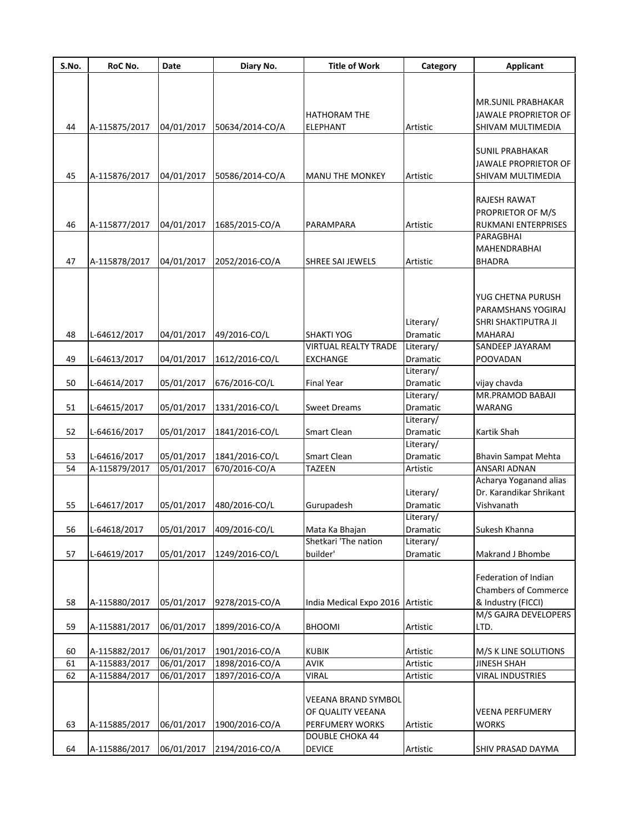| S.No. | RoC No.       | Date       | Diary No.                | <b>Title of Work</b>                                               | Category              | <b>Applicant</b>                                                                 |
|-------|---------------|------------|--------------------------|--------------------------------------------------------------------|-----------------------|----------------------------------------------------------------------------------|
|       |               |            |                          |                                                                    |                       |                                                                                  |
| 44    | A-115875/2017 | 04/01/2017 | 50634/2014-CO/A          | <b>HATHORAM THE</b><br><b>ELEPHANT</b>                             | Artistic              | MR.SUNIL PRABHAKAR<br>JAWALE PROPRIETOR OF<br>SHIVAM MULTIMEDIA                  |
|       |               |            |                          |                                                                    |                       |                                                                                  |
| 45    | A-115876/2017 | 04/01/2017 | 50586/2014-CO/A          | <b>MANU THE MONKEY</b>                                             | Artistic              | <b>SUNIL PRABHAKAR</b><br>JAWALE PROPRIETOR OF<br>SHIVAM MULTIMEDIA              |
|       |               |            |                          |                                                                    |                       | RAJESH RAWAT<br>PROPRIETOR OF M/S                                                |
| 46    | A-115877/2017 | 04/01/2017 | 1685/2015-CO/A           | PARAMPARA                                                          | Artistic              | RUKMANI ENTERPRISES                                                              |
| 47    | A-115878/2017 | 04/01/2017 | 2052/2016-CO/A           | SHREE SAI JEWELS                                                   | Artistic              | PARAGBHAI<br>MAHENDRABHAI<br><b>BHADRA</b>                                       |
| 48    | L-64612/2017  | 04/01/2017 | 49/2016-CO/L             | <b>SHAKTI YOG</b>                                                  | Literary/<br>Dramatic | YUG CHETNA PURUSH<br>PARAMSHANS YOGIRAJ<br>SHRI SHAKTIPUTRA JI<br><b>MAHARAJ</b> |
|       |               |            |                          | <b>VIRTUAL REALTY TRADE</b>                                        | Literary/             | SANDEEP JAYARAM                                                                  |
| 49    | L-64613/2017  | 04/01/2017 | 1612/2016-CO/L           | <b>EXCHANGE</b>                                                    | Dramatic              | POOVADAN                                                                         |
|       |               |            |                          |                                                                    | Literary/             |                                                                                  |
| 50    | L-64614/2017  | 05/01/2017 | 676/2016-CO/L            | <b>Final Year</b>                                                  | Dramatic              | vijay chavda                                                                     |
|       |               |            |                          |                                                                    | Literary/             | MR.PRAMOD BABAJI                                                                 |
| 51    | L-64615/2017  | 05/01/2017 | 1331/2016-CO/L           | <b>Sweet Dreams</b>                                                | Dramatic              | <b>WARANG</b>                                                                    |
| 52    | L-64616/2017  | 05/01/2017 | 1841/2016-CO/L           | Smart Clean                                                        | Literary/<br>Dramatic | Kartik Shah                                                                      |
| 53    | L-64616/2017  | 05/01/2017 | 1841/2016-CO/L           | Smart Clean                                                        | Literary/<br>Dramatic | <b>Bhavin Sampat Mehta</b>                                                       |
| 54    | A-115879/2017 | 05/01/2017 | 670/2016-CO/A            | <b>TAZEEN</b>                                                      | Artistic              | ANSARI ADNAN                                                                     |
|       |               |            |                          |                                                                    |                       | Acharya Yoganand alias                                                           |
| 55    | L-64617/2017  | 05/01/2017 | 480/2016-CO/L            | Gurupadesh                                                         | Literary/<br>Dramatic | Dr. Karandikar Shrikant<br>Vishvanath                                            |
|       |               |            |                          |                                                                    | Literary/             |                                                                                  |
| 56    | L-64618/2017  |            | 05/01/2017 409/2016-CO/L | Mata Ka Bhajan                                                     | Dramatic              | Sukesh Khanna                                                                    |
|       |               |            |                          | Shetkari 'The nation                                               | Literary/             |                                                                                  |
| 57    | L-64619/2017  | 05/01/2017 | 1249/2016-CO/L           | builder'                                                           | Dramatic              | Makrand J Bhombe                                                                 |
| 58    | A-115880/2017 | 05/01/2017 | 9278/2015-CO/A           | India Medical Expo 2016                                            | Artistic              | Federation of Indian<br><b>Chambers of Commerce</b><br>& Industry (FICCI)        |
| 59    | A-115881/2017 | 06/01/2017 | 1899/2016-CO/A           | <b>BHOOMI</b>                                                      | Artistic              | M/S GAJRA DEVELOPERS<br>LTD.                                                     |
|       |               |            |                          |                                                                    |                       |                                                                                  |
| 60    | A-115882/2017 | 06/01/2017 | 1901/2016-CO/A           | <b>KUBIK</b>                                                       | Artistic              | M/S K LINE SOLUTIONS                                                             |
| 61    | A-115883/2017 | 06/01/2017 | 1898/2016-CO/A           | AVIK                                                               | Artistic              | <b>JINESH SHAH</b>                                                               |
| 62    | A-115884/2017 | 06/01/2017 | 1897/2016-CO/A           | <b>VIRAL</b>                                                       | Artistic              | <b>VIRAL INDUSTRIES</b>                                                          |
| 63    | A-115885/2017 | 06/01/2017 | 1900/2016-CO/A           | <b>VEEANA BRAND SYMBOL</b><br>OF QUALITY VEEANA<br>PERFUMERY WORKS | Artistic              | <b>VEENA PERFUMERY</b><br><b>WORKS</b>                                           |
|       |               |            |                          | <b>DOUBLE CHOKA 44</b>                                             |                       |                                                                                  |
| 64    | A-115886/2017 | 06/01/2017 | 2194/2016-CO/A           | <b>DEVICE</b>                                                      | Artistic              | SHIV PRASAD DAYMA                                                                |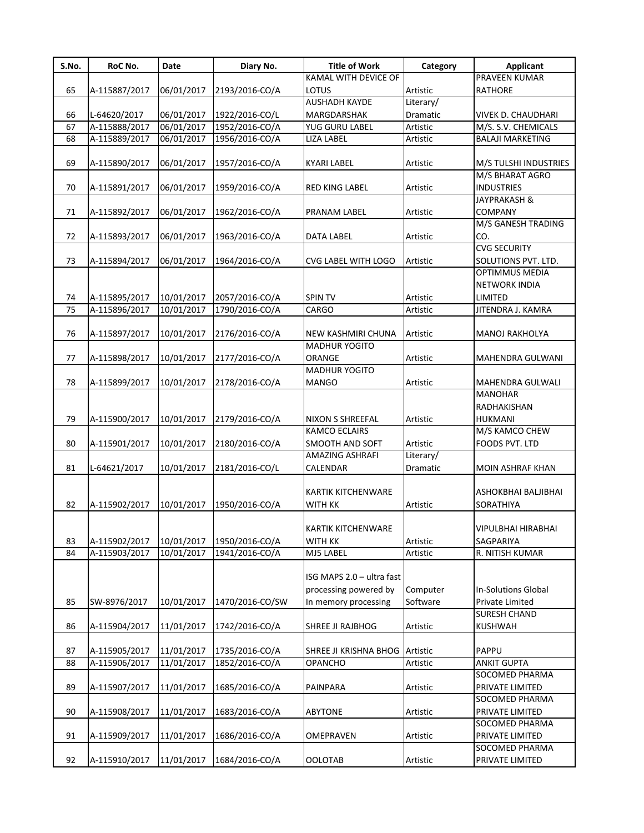| S.No. | RoC No.       | Date       | Diary No.       | <b>Title of Work</b>           | Category  | <b>Applicant</b>          |
|-------|---------------|------------|-----------------|--------------------------------|-----------|---------------------------|
|       |               |            |                 | KAMAL WITH DEVICE OF           |           | <b>PRAVEEN KUMAR</b>      |
| 65    | A-115887/2017 | 06/01/2017 | 2193/2016-CO/A  | LOTUS                          | Artistic  | <b>RATHORE</b>            |
|       |               |            |                 | <b>AUSHADH KAYDE</b>           | Literary/ |                           |
| 66    | L-64620/2017  | 06/01/2017 | 1922/2016-CO/L  | MARGDARSHAK                    | Dramatic  | VIVEK D. CHAUDHARI        |
| 67    | A-115888/2017 | 06/01/2017 | 1952/2016-CO/A  | YUG GURU LABEL                 | Artistic  | M/S. S.V. CHEMICALS       |
| 68    | A-115889/2017 | 06/01/2017 | 1956/2016-CO/A  | LIZA LABEL                     | Artistic  | <b>BALAJI MARKETING</b>   |
|       |               |            |                 |                                |           |                           |
| 69    | A-115890/2017 | 06/01/2017 | 1957/2016-CO/A  | <b>KYARI LABEL</b>             | Artistic  | M/S TULSHI INDUSTRIES     |
|       |               |            |                 |                                |           | M/S BHARAT AGRO           |
| 70    | A-115891/2017 | 06/01/2017 | 1959/2016-CO/A  | <b>RED KING LABEL</b>          | Artistic  | <b>INDUSTRIES</b>         |
|       |               |            |                 |                                |           | <b>JAYPRAKASH &amp;</b>   |
| 71    | A-115892/2017 | 06/01/2017 | 1962/2016-CO/A  | PRANAM LABEL                   | Artistic  | <b>COMPANY</b>            |
|       |               |            |                 |                                |           | M/S GANESH TRADING        |
| 72    | A-115893/2017 | 06/01/2017 | 1963/2016-CO/A  | DATA LABEL                     | Artistic  | CO.                       |
|       |               |            |                 |                                |           | <b>CVG SECURITY</b>       |
| 73    | A-115894/2017 | 06/01/2017 | 1964/2016-CO/A  | CVG LABEL WITH LOGO            | Artistic  | SOLUTIONS PVT. LTD.       |
|       |               |            |                 |                                |           | OPTIMMUS MEDIA            |
|       |               |            |                 |                                |           |                           |
|       |               |            |                 |                                |           | <b>NETWORK INDIA</b>      |
| 74    | A-115895/2017 | 10/01/2017 | 2057/2016-CO/A  | <b>SPIN TV</b>                 | Artistic  | LIMITED                   |
| 75    | A-115896/2017 | 10/01/2017 | 1790/2016-CO/A  | CARGO                          | Artistic  | JITENDRA J. KAMRA         |
|       |               |            |                 |                                |           |                           |
| 76    | A-115897/2017 | 10/01/2017 | 2176/2016-CO/A  | NEW KASHMIRI CHUNA             | Artistic  | MANOJ RAKHOLYA            |
|       |               |            |                 | <b>MADHUR YOGITO</b>           |           |                           |
| 77    | A-115898/2017 | 10/01/2017 | 2177/2016-CO/A  | ORANGE                         | Artistic  | MAHENDRA GULWANI          |
|       |               |            |                 | <b>MADHUR YOGITO</b>           |           |                           |
| 78    | A-115899/2017 | 10/01/2017 | 2178/2016-CO/A  | <b>MANGO</b>                   | Artistic  | MAHENDRA GULWALI          |
|       |               |            |                 |                                |           | <b>MANOHAR</b>            |
|       |               |            |                 |                                |           | RADHAKISHAN               |
| 79    | A-115900/2017 | 10/01/2017 | 2179/2016-CO/A  | NIXON S SHREEFAL               | Artistic  | HUKMANI                   |
|       |               |            |                 | <b>KAMCO ECLAIRS</b>           |           | M/S KAMCO CHEW            |
| 80    | A-115901/2017 | 10/01/2017 | 2180/2016-CO/A  | SMOOTH AND SOFT                | Artistic  | FOODS PVT. LTD            |
|       |               |            |                 | AMAZING ASHRAFI                | Literary/ |                           |
| 81    | L-64621/2017  | 10/01/2017 | 2181/2016-CO/L  | CALENDAR                       | Dramatic  | MOIN ASHRAF KHAN          |
|       |               |            |                 |                                |           |                           |
|       |               |            |                 | KARTIK KITCHENWARE             |           | ASHOKBHAI BALJIBHAI       |
| 82    | A-115902/2017 | 10/01/2017 | 1950/2016-CO/A  | <b>WITH KK</b>                 | Artistic  | SORATHIYA                 |
|       |               |            |                 |                                |           |                           |
|       |               |            |                 | KARTIK KITCHENWARE             |           | <b>VIPULBHAI HIRABHAI</b> |
| 83    | A-115902/2017 | 10/01/2017 | 1950/2016-CO/A  | <b>WITH KK</b>                 | Artistic  | SAGPARIYA                 |
| 84    | A-115903/2017 | 10/01/2017 | 1941/2016-CO/A  | MJ5 LABEL                      | Artistic  | R. NITISH KUMAR           |
|       |               |            |                 |                                |           |                           |
|       |               |            |                 | ISG MAPS 2.0 - ultra fast      |           |                           |
|       |               |            |                 | processing powered by          | Computer  | In-Solutions Global       |
| 85    | SW-8976/2017  | 10/01/2017 | 1470/2016-CO/SW | In memory processing           | Software  | Private Limited           |
|       |               |            |                 |                                |           | <b>SURESH CHAND</b>       |
| 86    | A-115904/2017 | 11/01/2017 | 1742/2016-CO/A  | SHREE JI RAJBHOG               | Artistic  | <b>KUSHWAH</b>            |
|       |               |            |                 |                                |           |                           |
| 87    | A-115905/2017 | 11/01/2017 | 1735/2016-CO/A  | SHREE JI KRISHNA BHOG Artistic |           | PAPPU                     |
|       |               |            |                 |                                |           |                           |
| 88    | A-115906/2017 | 11/01/2017 | 1852/2016-CO/A  | <b>OPANCHO</b>                 | Artistic  | <b>ANKIT GUPTA</b>        |
|       |               |            |                 |                                |           | SOCOMED PHARMA            |
| 89    | A-115907/2017 | 11/01/2017 | 1685/2016-CO/A  | PAINPARA                       | Artistic  | PRIVATE LIMITED           |
|       |               |            |                 |                                |           | SOCOMED PHARMA            |
| 90    | A-115908/2017 | 11/01/2017 | 1683/2016-CO/A  | <b>ABYTONE</b>                 | Artistic  | PRIVATE LIMITED           |
|       |               |            |                 |                                |           | SOCOMED PHARMA            |
| 91    | A-115909/2017 | 11/01/2017 | 1686/2016-CO/A  | OMEPRAVEN                      | Artistic  | PRIVATE LIMITED           |
|       |               |            |                 |                                |           | SOCOMED PHARMA            |
| 92    | A-115910/2017 | 11/01/2017 | 1684/2016-CO/A  | <b>OOLOTAB</b>                 | Artistic  | PRIVATE LIMITED           |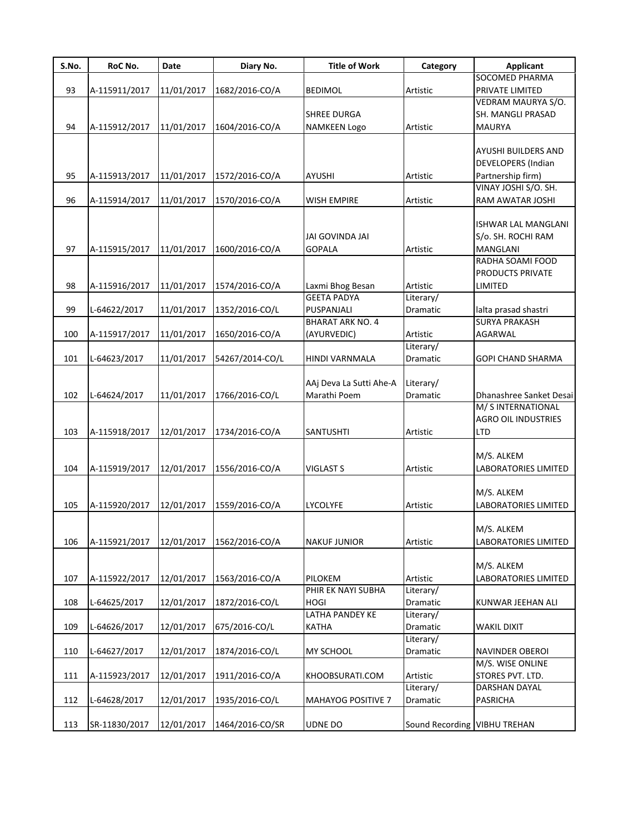| S.No. | RoC No.       | Date       | Diary No.       | <b>Title of Work</b>    | Category                     | <b>Applicant</b>           |
|-------|---------------|------------|-----------------|-------------------------|------------------------------|----------------------------|
|       |               |            |                 |                         |                              | SOCOMED PHARMA             |
| 93    | A-115911/2017 | 11/01/2017 | 1682/2016-CO/A  | BEDIMOL                 | Artistic                     | PRIVATE LIMITED            |
|       |               |            |                 |                         |                              | VEDRAM MAURYA S/O.         |
|       |               |            |                 | <b>SHREE DURGA</b>      |                              | SH. MANGLI PRASAD          |
| 94    | A-115912/2017 | 11/01/2017 | 1604/2016-CO/A  | NAMKEEN Logo            | Artistic                     | <b>MAURYA</b>              |
|       |               |            |                 |                         |                              |                            |
|       |               |            |                 |                         |                              | AYUSHI BUILDERS AND        |
|       |               |            |                 |                         |                              | <b>DEVELOPERS (Indian</b>  |
| 95    | A-115913/2017 | 11/01/2017 | 1572/2016-CO/A  | AYUSHI                  | Artistic                     | Partnership firm)          |
|       |               |            |                 |                         |                              | VINAY JOSHI S/O. SH.       |
| 96    | A-115914/2017 | 11/01/2017 | 1570/2016-CO/A  | <b>WISH EMPIRE</b>      | Artistic                     | RAM AWATAR JOSHI           |
|       |               |            |                 |                         |                              |                            |
|       |               |            |                 |                         |                              | ISHWAR LAL MANGLANI        |
|       |               |            |                 | JAI GOVINDA JAI         |                              | S/o. SH. ROCHI RAM         |
| 97    | A-115915/2017 | 11/01/2017 | 1600/2016-CO/A  | <b>GOPALA</b>           | Artistic                     | <b>MANGLANI</b>            |
|       |               |            |                 |                         |                              | RADHA SOAMI FOOD           |
|       |               |            |                 |                         |                              |                            |
|       |               |            |                 |                         |                              | PRODUCTS PRIVATE           |
| 98    | A-115916/2017 | 11/01/2017 | 1574/2016-CO/A  | Laxmi Bhog Besan        | Artistic                     | LIMITED                    |
|       |               |            |                 | <b>GEETA PADYA</b>      | Literary/                    |                            |
| 99    | L-64622/2017  | 11/01/2017 | 1352/2016-CO/L  | PUSPANJALI              | Dramatic                     | lalta prasad shastri       |
|       |               |            |                 | <b>BHARAT ARK NO. 4</b> |                              | <b>SURYA PRAKASH</b>       |
| 100   | A-115917/2017 | 11/01/2017 | 1650/2016-CO/A  | (AYURVEDIC)             | Artistic                     | AGARWAL                    |
|       |               |            |                 |                         | Literary/                    |                            |
| 101   | L-64623/2017  | 11/01/2017 | 54267/2014-CO/L | HINDI VARNMALA          | Dramatic                     | GOPI CHAND SHARMA          |
|       |               |            |                 |                         |                              |                            |
|       |               |            |                 | AAj Deva La Sutti Ahe-A | Literary/                    |                            |
| 102   | L-64624/2017  | 11/01/2017 | 1766/2016-CO/L  | Marathi Poem            | Dramatic                     | Dhanashree Sanket Desai    |
|       |               |            |                 |                         |                              | M/ S INTERNATIONAL         |
|       |               |            |                 |                         |                              | <b>AGRO OIL INDUSTRIES</b> |
| 103   | A-115918/2017 | 12/01/2017 | 1734/2016-CO/A  | SANTUSHTI               | Artistic                     | LTD                        |
|       |               |            |                 |                         |                              |                            |
|       |               |            |                 |                         |                              | M/S. ALKEM                 |
| 104   | A-115919/2017 | 12/01/2017 | 1556/2016-CO/A  | VIGLAST S               | Artistic                     | LABORATORIES LIMITED       |
|       |               |            |                 |                         |                              |                            |
|       |               |            |                 |                         |                              | M/S. ALKEM                 |
| 105   | A-115920/2017 | 12/01/2017 | 1559/2016-CO/A  | LYCOLYFE                | Artistic                     | LABORATORIES LIMITED       |
|       |               |            |                 |                         |                              |                            |
|       |               |            |                 |                         |                              | M/S. ALKEM                 |
|       |               |            |                 |                         |                              |                            |
| 106   | A-115921/2017 | 12/01/2017 | 1562/2016-CO/A  | <b>NAKUF JUNIOR</b>     | Artistic                     | LABORATORIES LIMITED       |
|       |               |            |                 |                         |                              |                            |
|       |               |            |                 |                         |                              | M/S. ALKEM                 |
| 107   | A-115922/2017 | 12/01/2017 | 1563/2016-CO/A  | PILOKEM                 | Artistic                     | LABORATORIES LIMITED       |
|       |               |            |                 | PHIR EK NAYI SUBHA      | Literary/                    |                            |
| 108   | L-64625/2017  | 12/01/2017 | 1872/2016-CO/L  | <b>HOGI</b>             | Dramatic                     | KUNWAR JEEHAN ALI          |
|       |               |            |                 | LATHA PANDEY KE         | Literary/                    |                            |
| 109   | L-64626/2017  | 12/01/2017 | 675/2016-CO/L   | KATHA                   | Dramatic                     | <b>WAKIL DIXIT</b>         |
|       |               |            |                 |                         | Literary/                    |                            |
| 110   | L-64627/2017  | 12/01/2017 | 1874/2016-CO/L  | MY SCHOOL               | Dramatic                     | <b>NAVINDER OBEROI</b>     |
|       |               |            |                 |                         |                              | M/S. WISE ONLINE           |
| 111   | A-115923/2017 | 12/01/2017 | 1911/2016-CO/A  | KHOOBSURATI.COM         | Artistic                     | STORES PVT. LTD.           |
|       |               |            |                 |                         | Literary/                    | DARSHAN DAYAL              |
| 112   | L-64628/2017  | 12/01/2017 | 1935/2016-CO/L  | MAHAYOG POSITIVE 7      | Dramatic                     | PASRICHA                   |
|       |               |            |                 |                         |                              |                            |
| 113   | SR-11830/2017 | 12/01/2017 | 1464/2016-CO/SR | UDNE DO                 | Sound Recording VIBHU TREHAN |                            |
|       |               |            |                 |                         |                              |                            |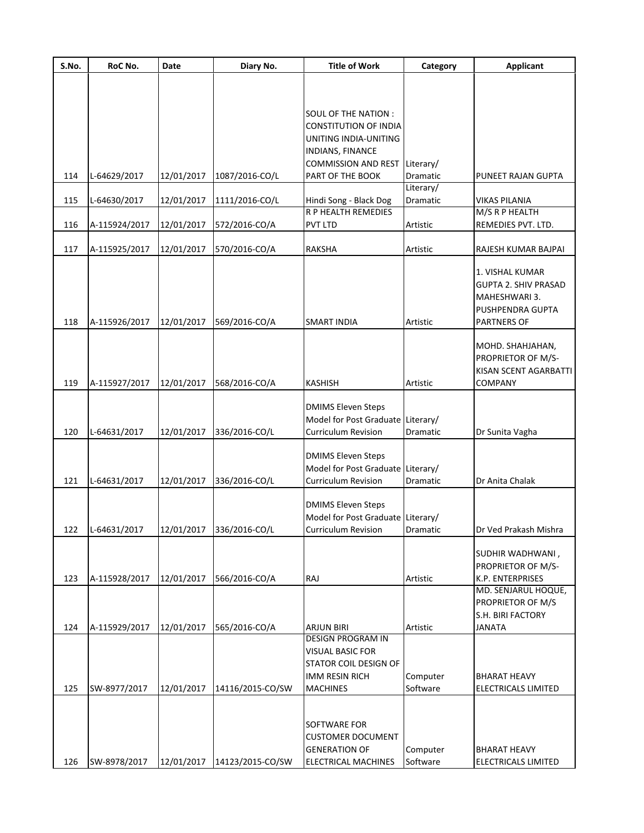| <b>SOUL OF THE NATION:</b><br><b>CONSTITUTION OF INDIA</b><br>UNITING INDIA-UNITING<br>INDIANS, FINANCE<br><b>COMMISSION AND REST</b><br>Literary/<br>114<br>L-64629/2017<br>12/01/2017<br>1087/2016-CO/L<br>PART OF THE BOOK<br>Dramatic<br>PUNEET RAJAN GUPTA<br>Literary/<br>115<br>L-64630/2017<br>12/01/2017<br>1111/2016-CO/L<br>Hindi Song - Black Dog<br>Dramatic<br><b>VIKAS PILANIA</b><br><b>R P HEALTH REMEDIES</b><br>M/S R P HEALTH<br>12/01/2017<br>572/2016-CO/A<br><b>PVT LTD</b><br>REMEDIES PVT. LTD.<br>116<br>A-115924/2017<br>Artistic<br>A-115925/2017<br>570/2016-CO/A<br><b>RAKSHA</b><br>117<br>12/01/2017<br>Artistic<br>RAJESH KUMAR BAJPAI<br>1. VISHAL KUMAR<br><b>GUPTA 2. SHIV PRASAD</b><br>MAHESHWARI 3.<br>PUSHPENDRA GUPTA<br>A-115926/2017<br>12/01/2017<br>118<br>569/2016-CO/A<br><b>SMART INDIA</b><br>Artistic<br><b>PARTNERS OF</b><br>MOHD. SHAHJAHAN,<br>PROPRIETOR OF M/S-<br>KISAN SCENT AGARBATTI<br>119<br>A-115927/2017<br>12/01/2017<br>568/2016-CO/A<br><b>KASHISH</b><br>COMPANY<br>Artistic<br><b>DMIMS Eleven Steps</b><br>Model for Post Graduate Literary/<br><b>Curriculum Revision</b><br>120<br>L-64631/2017<br>12/01/2017<br>336/2016-CO/L<br>Dramatic<br>Dr Sunita Vagha<br><b>DMIMS Eleven Steps</b><br>Model for Post Graduate Literary/<br><b>Curriculum Revision</b><br>121<br>L-64631/2017<br>12/01/2017<br>336/2016-CO/L<br><b>Dramatic</b><br>Dr Anita Chalak<br><b>DMIMS Eleven Steps</b><br>Model for Post Graduate Literary/<br>L-64631/2017<br>12/01/2017<br>336/2016-CO/L<br>Curriculum Revision<br>122<br>Dramatic<br>Dr Ved Prakash Mishra<br>SUDHIR WADHWANI,<br>PROPRIETOR OF M/S-<br>123<br>A-115928/2017<br>12/01/2017<br>566/2016-CO/A<br>RAJ<br>K.P. ENTERPRISES<br>Artistic<br>MD. SENJARUL HOQUE,<br>PROPRIETOR OF M/S<br>S.H. BIRI FACTORY<br>A-115929/2017<br><b>JANATA</b><br>124<br>12/01/2017<br>565/2016-CO/A<br><b>ARJUN BIRI</b><br>Artistic<br><b>DESIGN PROGRAM IN</b><br><b>VISUAL BASIC FOR</b><br><b>STATOR COIL DESIGN OF</b><br><b>IMM RESIN RICH</b><br>Computer<br><b>BHARAT HEAVY</b><br>125<br>Software<br>SW-8977/2017<br>12/01/2017<br><b>MACHINES</b><br>ELECTRICALS LIMITED<br>14116/2015-CO/SW<br>SOFTWARE FOR<br><b>CUSTOMER DOCUMENT</b><br><b>GENERATION OF</b><br>Computer<br><b>BHARAT HEAVY</b><br>SW-8978/2017<br>12/01/2017<br>14123/2015-CO/SW<br>Software<br>126<br><b>ELECTRICAL MACHINES</b><br>ELECTRICALS LIMITED | S.No. | RoC No. | Date | Diary No. | <b>Title of Work</b> | Category | <b>Applicant</b> |
|--------------------------------------------------------------------------------------------------------------------------------------------------------------------------------------------------------------------------------------------------------------------------------------------------------------------------------------------------------------------------------------------------------------------------------------------------------------------------------------------------------------------------------------------------------------------------------------------------------------------------------------------------------------------------------------------------------------------------------------------------------------------------------------------------------------------------------------------------------------------------------------------------------------------------------------------------------------------------------------------------------------------------------------------------------------------------------------------------------------------------------------------------------------------------------------------------------------------------------------------------------------------------------------------------------------------------------------------------------------------------------------------------------------------------------------------------------------------------------------------------------------------------------------------------------------------------------------------------------------------------------------------------------------------------------------------------------------------------------------------------------------------------------------------------------------------------------------------------------------------------------------------------------------------------------------------------------------------------------------------------------------------------------------------------------------------------------------------------------------------------------------------------------------------------------------------------------------------------------------------------------------------------------------------------------------------------------------------------------------------------------------------------------------------------------------------|-------|---------|------|-----------|----------------------|----------|------------------|
|                                                                                                                                                                                                                                                                                                                                                                                                                                                                                                                                                                                                                                                                                                                                                                                                                                                                                                                                                                                                                                                                                                                                                                                                                                                                                                                                                                                                                                                                                                                                                                                                                                                                                                                                                                                                                                                                                                                                                                                                                                                                                                                                                                                                                                                                                                                                                                                                                                            |       |         |      |           |                      |          |                  |
|                                                                                                                                                                                                                                                                                                                                                                                                                                                                                                                                                                                                                                                                                                                                                                                                                                                                                                                                                                                                                                                                                                                                                                                                                                                                                                                                                                                                                                                                                                                                                                                                                                                                                                                                                                                                                                                                                                                                                                                                                                                                                                                                                                                                                                                                                                                                                                                                                                            |       |         |      |           |                      |          |                  |
|                                                                                                                                                                                                                                                                                                                                                                                                                                                                                                                                                                                                                                                                                                                                                                                                                                                                                                                                                                                                                                                                                                                                                                                                                                                                                                                                                                                                                                                                                                                                                                                                                                                                                                                                                                                                                                                                                                                                                                                                                                                                                                                                                                                                                                                                                                                                                                                                                                            |       |         |      |           |                      |          |                  |
|                                                                                                                                                                                                                                                                                                                                                                                                                                                                                                                                                                                                                                                                                                                                                                                                                                                                                                                                                                                                                                                                                                                                                                                                                                                                                                                                                                                                                                                                                                                                                                                                                                                                                                                                                                                                                                                                                                                                                                                                                                                                                                                                                                                                                                                                                                                                                                                                                                            |       |         |      |           |                      |          |                  |
|                                                                                                                                                                                                                                                                                                                                                                                                                                                                                                                                                                                                                                                                                                                                                                                                                                                                                                                                                                                                                                                                                                                                                                                                                                                                                                                                                                                                                                                                                                                                                                                                                                                                                                                                                                                                                                                                                                                                                                                                                                                                                                                                                                                                                                                                                                                                                                                                                                            |       |         |      |           |                      |          |                  |
|                                                                                                                                                                                                                                                                                                                                                                                                                                                                                                                                                                                                                                                                                                                                                                                                                                                                                                                                                                                                                                                                                                                                                                                                                                                                                                                                                                                                                                                                                                                                                                                                                                                                                                                                                                                                                                                                                                                                                                                                                                                                                                                                                                                                                                                                                                                                                                                                                                            |       |         |      |           |                      |          |                  |
|                                                                                                                                                                                                                                                                                                                                                                                                                                                                                                                                                                                                                                                                                                                                                                                                                                                                                                                                                                                                                                                                                                                                                                                                                                                                                                                                                                                                                                                                                                                                                                                                                                                                                                                                                                                                                                                                                                                                                                                                                                                                                                                                                                                                                                                                                                                                                                                                                                            |       |         |      |           |                      |          |                  |
|                                                                                                                                                                                                                                                                                                                                                                                                                                                                                                                                                                                                                                                                                                                                                                                                                                                                                                                                                                                                                                                                                                                                                                                                                                                                                                                                                                                                                                                                                                                                                                                                                                                                                                                                                                                                                                                                                                                                                                                                                                                                                                                                                                                                                                                                                                                                                                                                                                            |       |         |      |           |                      |          |                  |
|                                                                                                                                                                                                                                                                                                                                                                                                                                                                                                                                                                                                                                                                                                                                                                                                                                                                                                                                                                                                                                                                                                                                                                                                                                                                                                                                                                                                                                                                                                                                                                                                                                                                                                                                                                                                                                                                                                                                                                                                                                                                                                                                                                                                                                                                                                                                                                                                                                            |       |         |      |           |                      |          |                  |
|                                                                                                                                                                                                                                                                                                                                                                                                                                                                                                                                                                                                                                                                                                                                                                                                                                                                                                                                                                                                                                                                                                                                                                                                                                                                                                                                                                                                                                                                                                                                                                                                                                                                                                                                                                                                                                                                                                                                                                                                                                                                                                                                                                                                                                                                                                                                                                                                                                            |       |         |      |           |                      |          |                  |
|                                                                                                                                                                                                                                                                                                                                                                                                                                                                                                                                                                                                                                                                                                                                                                                                                                                                                                                                                                                                                                                                                                                                                                                                                                                                                                                                                                                                                                                                                                                                                                                                                                                                                                                                                                                                                                                                                                                                                                                                                                                                                                                                                                                                                                                                                                                                                                                                                                            |       |         |      |           |                      |          |                  |
|                                                                                                                                                                                                                                                                                                                                                                                                                                                                                                                                                                                                                                                                                                                                                                                                                                                                                                                                                                                                                                                                                                                                                                                                                                                                                                                                                                                                                                                                                                                                                                                                                                                                                                                                                                                                                                                                                                                                                                                                                                                                                                                                                                                                                                                                                                                                                                                                                                            |       |         |      |           |                      |          |                  |
|                                                                                                                                                                                                                                                                                                                                                                                                                                                                                                                                                                                                                                                                                                                                                                                                                                                                                                                                                                                                                                                                                                                                                                                                                                                                                                                                                                                                                                                                                                                                                                                                                                                                                                                                                                                                                                                                                                                                                                                                                                                                                                                                                                                                                                                                                                                                                                                                                                            |       |         |      |           |                      |          |                  |
|                                                                                                                                                                                                                                                                                                                                                                                                                                                                                                                                                                                                                                                                                                                                                                                                                                                                                                                                                                                                                                                                                                                                                                                                                                                                                                                                                                                                                                                                                                                                                                                                                                                                                                                                                                                                                                                                                                                                                                                                                                                                                                                                                                                                                                                                                                                                                                                                                                            |       |         |      |           |                      |          |                  |
|                                                                                                                                                                                                                                                                                                                                                                                                                                                                                                                                                                                                                                                                                                                                                                                                                                                                                                                                                                                                                                                                                                                                                                                                                                                                                                                                                                                                                                                                                                                                                                                                                                                                                                                                                                                                                                                                                                                                                                                                                                                                                                                                                                                                                                                                                                                                                                                                                                            |       |         |      |           |                      |          |                  |
|                                                                                                                                                                                                                                                                                                                                                                                                                                                                                                                                                                                                                                                                                                                                                                                                                                                                                                                                                                                                                                                                                                                                                                                                                                                                                                                                                                                                                                                                                                                                                                                                                                                                                                                                                                                                                                                                                                                                                                                                                                                                                                                                                                                                                                                                                                                                                                                                                                            |       |         |      |           |                      |          |                  |
|                                                                                                                                                                                                                                                                                                                                                                                                                                                                                                                                                                                                                                                                                                                                                                                                                                                                                                                                                                                                                                                                                                                                                                                                                                                                                                                                                                                                                                                                                                                                                                                                                                                                                                                                                                                                                                                                                                                                                                                                                                                                                                                                                                                                                                                                                                                                                                                                                                            |       |         |      |           |                      |          |                  |
|                                                                                                                                                                                                                                                                                                                                                                                                                                                                                                                                                                                                                                                                                                                                                                                                                                                                                                                                                                                                                                                                                                                                                                                                                                                                                                                                                                                                                                                                                                                                                                                                                                                                                                                                                                                                                                                                                                                                                                                                                                                                                                                                                                                                                                                                                                                                                                                                                                            |       |         |      |           |                      |          |                  |
|                                                                                                                                                                                                                                                                                                                                                                                                                                                                                                                                                                                                                                                                                                                                                                                                                                                                                                                                                                                                                                                                                                                                                                                                                                                                                                                                                                                                                                                                                                                                                                                                                                                                                                                                                                                                                                                                                                                                                                                                                                                                                                                                                                                                                                                                                                                                                                                                                                            |       |         |      |           |                      |          |                  |
|                                                                                                                                                                                                                                                                                                                                                                                                                                                                                                                                                                                                                                                                                                                                                                                                                                                                                                                                                                                                                                                                                                                                                                                                                                                                                                                                                                                                                                                                                                                                                                                                                                                                                                                                                                                                                                                                                                                                                                                                                                                                                                                                                                                                                                                                                                                                                                                                                                            |       |         |      |           |                      |          |                  |
|                                                                                                                                                                                                                                                                                                                                                                                                                                                                                                                                                                                                                                                                                                                                                                                                                                                                                                                                                                                                                                                                                                                                                                                                                                                                                                                                                                                                                                                                                                                                                                                                                                                                                                                                                                                                                                                                                                                                                                                                                                                                                                                                                                                                                                                                                                                                                                                                                                            |       |         |      |           |                      |          |                  |
|                                                                                                                                                                                                                                                                                                                                                                                                                                                                                                                                                                                                                                                                                                                                                                                                                                                                                                                                                                                                                                                                                                                                                                                                                                                                                                                                                                                                                                                                                                                                                                                                                                                                                                                                                                                                                                                                                                                                                                                                                                                                                                                                                                                                                                                                                                                                                                                                                                            |       |         |      |           |                      |          |                  |
|                                                                                                                                                                                                                                                                                                                                                                                                                                                                                                                                                                                                                                                                                                                                                                                                                                                                                                                                                                                                                                                                                                                                                                                                                                                                                                                                                                                                                                                                                                                                                                                                                                                                                                                                                                                                                                                                                                                                                                                                                                                                                                                                                                                                                                                                                                                                                                                                                                            |       |         |      |           |                      |          |                  |
|                                                                                                                                                                                                                                                                                                                                                                                                                                                                                                                                                                                                                                                                                                                                                                                                                                                                                                                                                                                                                                                                                                                                                                                                                                                                                                                                                                                                                                                                                                                                                                                                                                                                                                                                                                                                                                                                                                                                                                                                                                                                                                                                                                                                                                                                                                                                                                                                                                            |       |         |      |           |                      |          |                  |
|                                                                                                                                                                                                                                                                                                                                                                                                                                                                                                                                                                                                                                                                                                                                                                                                                                                                                                                                                                                                                                                                                                                                                                                                                                                                                                                                                                                                                                                                                                                                                                                                                                                                                                                                                                                                                                                                                                                                                                                                                                                                                                                                                                                                                                                                                                                                                                                                                                            |       |         |      |           |                      |          |                  |
|                                                                                                                                                                                                                                                                                                                                                                                                                                                                                                                                                                                                                                                                                                                                                                                                                                                                                                                                                                                                                                                                                                                                                                                                                                                                                                                                                                                                                                                                                                                                                                                                                                                                                                                                                                                                                                                                                                                                                                                                                                                                                                                                                                                                                                                                                                                                                                                                                                            |       |         |      |           |                      |          |                  |
|                                                                                                                                                                                                                                                                                                                                                                                                                                                                                                                                                                                                                                                                                                                                                                                                                                                                                                                                                                                                                                                                                                                                                                                                                                                                                                                                                                                                                                                                                                                                                                                                                                                                                                                                                                                                                                                                                                                                                                                                                                                                                                                                                                                                                                                                                                                                                                                                                                            |       |         |      |           |                      |          |                  |
|                                                                                                                                                                                                                                                                                                                                                                                                                                                                                                                                                                                                                                                                                                                                                                                                                                                                                                                                                                                                                                                                                                                                                                                                                                                                                                                                                                                                                                                                                                                                                                                                                                                                                                                                                                                                                                                                                                                                                                                                                                                                                                                                                                                                                                                                                                                                                                                                                                            |       |         |      |           |                      |          |                  |
|                                                                                                                                                                                                                                                                                                                                                                                                                                                                                                                                                                                                                                                                                                                                                                                                                                                                                                                                                                                                                                                                                                                                                                                                                                                                                                                                                                                                                                                                                                                                                                                                                                                                                                                                                                                                                                                                                                                                                                                                                                                                                                                                                                                                                                                                                                                                                                                                                                            |       |         |      |           |                      |          |                  |
|                                                                                                                                                                                                                                                                                                                                                                                                                                                                                                                                                                                                                                                                                                                                                                                                                                                                                                                                                                                                                                                                                                                                                                                                                                                                                                                                                                                                                                                                                                                                                                                                                                                                                                                                                                                                                                                                                                                                                                                                                                                                                                                                                                                                                                                                                                                                                                                                                                            |       |         |      |           |                      |          |                  |
|                                                                                                                                                                                                                                                                                                                                                                                                                                                                                                                                                                                                                                                                                                                                                                                                                                                                                                                                                                                                                                                                                                                                                                                                                                                                                                                                                                                                                                                                                                                                                                                                                                                                                                                                                                                                                                                                                                                                                                                                                                                                                                                                                                                                                                                                                                                                                                                                                                            |       |         |      |           |                      |          |                  |
|                                                                                                                                                                                                                                                                                                                                                                                                                                                                                                                                                                                                                                                                                                                                                                                                                                                                                                                                                                                                                                                                                                                                                                                                                                                                                                                                                                                                                                                                                                                                                                                                                                                                                                                                                                                                                                                                                                                                                                                                                                                                                                                                                                                                                                                                                                                                                                                                                                            |       |         |      |           |                      |          |                  |
|                                                                                                                                                                                                                                                                                                                                                                                                                                                                                                                                                                                                                                                                                                                                                                                                                                                                                                                                                                                                                                                                                                                                                                                                                                                                                                                                                                                                                                                                                                                                                                                                                                                                                                                                                                                                                                                                                                                                                                                                                                                                                                                                                                                                                                                                                                                                                                                                                                            |       |         |      |           |                      |          |                  |
|                                                                                                                                                                                                                                                                                                                                                                                                                                                                                                                                                                                                                                                                                                                                                                                                                                                                                                                                                                                                                                                                                                                                                                                                                                                                                                                                                                                                                                                                                                                                                                                                                                                                                                                                                                                                                                                                                                                                                                                                                                                                                                                                                                                                                                                                                                                                                                                                                                            |       |         |      |           |                      |          |                  |
|                                                                                                                                                                                                                                                                                                                                                                                                                                                                                                                                                                                                                                                                                                                                                                                                                                                                                                                                                                                                                                                                                                                                                                                                                                                                                                                                                                                                                                                                                                                                                                                                                                                                                                                                                                                                                                                                                                                                                                                                                                                                                                                                                                                                                                                                                                                                                                                                                                            |       |         |      |           |                      |          |                  |
|                                                                                                                                                                                                                                                                                                                                                                                                                                                                                                                                                                                                                                                                                                                                                                                                                                                                                                                                                                                                                                                                                                                                                                                                                                                                                                                                                                                                                                                                                                                                                                                                                                                                                                                                                                                                                                                                                                                                                                                                                                                                                                                                                                                                                                                                                                                                                                                                                                            |       |         |      |           |                      |          |                  |
|                                                                                                                                                                                                                                                                                                                                                                                                                                                                                                                                                                                                                                                                                                                                                                                                                                                                                                                                                                                                                                                                                                                                                                                                                                                                                                                                                                                                                                                                                                                                                                                                                                                                                                                                                                                                                                                                                                                                                                                                                                                                                                                                                                                                                                                                                                                                                                                                                                            |       |         |      |           |                      |          |                  |
|                                                                                                                                                                                                                                                                                                                                                                                                                                                                                                                                                                                                                                                                                                                                                                                                                                                                                                                                                                                                                                                                                                                                                                                                                                                                                                                                                                                                                                                                                                                                                                                                                                                                                                                                                                                                                                                                                                                                                                                                                                                                                                                                                                                                                                                                                                                                                                                                                                            |       |         |      |           |                      |          |                  |
|                                                                                                                                                                                                                                                                                                                                                                                                                                                                                                                                                                                                                                                                                                                                                                                                                                                                                                                                                                                                                                                                                                                                                                                                                                                                                                                                                                                                                                                                                                                                                                                                                                                                                                                                                                                                                                                                                                                                                                                                                                                                                                                                                                                                                                                                                                                                                                                                                                            |       |         |      |           |                      |          |                  |
|                                                                                                                                                                                                                                                                                                                                                                                                                                                                                                                                                                                                                                                                                                                                                                                                                                                                                                                                                                                                                                                                                                                                                                                                                                                                                                                                                                                                                                                                                                                                                                                                                                                                                                                                                                                                                                                                                                                                                                                                                                                                                                                                                                                                                                                                                                                                                                                                                                            |       |         |      |           |                      |          |                  |
|                                                                                                                                                                                                                                                                                                                                                                                                                                                                                                                                                                                                                                                                                                                                                                                                                                                                                                                                                                                                                                                                                                                                                                                                                                                                                                                                                                                                                                                                                                                                                                                                                                                                                                                                                                                                                                                                                                                                                                                                                                                                                                                                                                                                                                                                                                                                                                                                                                            |       |         |      |           |                      |          |                  |
|                                                                                                                                                                                                                                                                                                                                                                                                                                                                                                                                                                                                                                                                                                                                                                                                                                                                                                                                                                                                                                                                                                                                                                                                                                                                                                                                                                                                                                                                                                                                                                                                                                                                                                                                                                                                                                                                                                                                                                                                                                                                                                                                                                                                                                                                                                                                                                                                                                            |       |         |      |           |                      |          |                  |
|                                                                                                                                                                                                                                                                                                                                                                                                                                                                                                                                                                                                                                                                                                                                                                                                                                                                                                                                                                                                                                                                                                                                                                                                                                                                                                                                                                                                                                                                                                                                                                                                                                                                                                                                                                                                                                                                                                                                                                                                                                                                                                                                                                                                                                                                                                                                                                                                                                            |       |         |      |           |                      |          |                  |
|                                                                                                                                                                                                                                                                                                                                                                                                                                                                                                                                                                                                                                                                                                                                                                                                                                                                                                                                                                                                                                                                                                                                                                                                                                                                                                                                                                                                                                                                                                                                                                                                                                                                                                                                                                                                                                                                                                                                                                                                                                                                                                                                                                                                                                                                                                                                                                                                                                            |       |         |      |           |                      |          |                  |
|                                                                                                                                                                                                                                                                                                                                                                                                                                                                                                                                                                                                                                                                                                                                                                                                                                                                                                                                                                                                                                                                                                                                                                                                                                                                                                                                                                                                                                                                                                                                                                                                                                                                                                                                                                                                                                                                                                                                                                                                                                                                                                                                                                                                                                                                                                                                                                                                                                            |       |         |      |           |                      |          |                  |
|                                                                                                                                                                                                                                                                                                                                                                                                                                                                                                                                                                                                                                                                                                                                                                                                                                                                                                                                                                                                                                                                                                                                                                                                                                                                                                                                                                                                                                                                                                                                                                                                                                                                                                                                                                                                                                                                                                                                                                                                                                                                                                                                                                                                                                                                                                                                                                                                                                            |       |         |      |           |                      |          |                  |
|                                                                                                                                                                                                                                                                                                                                                                                                                                                                                                                                                                                                                                                                                                                                                                                                                                                                                                                                                                                                                                                                                                                                                                                                                                                                                                                                                                                                                                                                                                                                                                                                                                                                                                                                                                                                                                                                                                                                                                                                                                                                                                                                                                                                                                                                                                                                                                                                                                            |       |         |      |           |                      |          |                  |
|                                                                                                                                                                                                                                                                                                                                                                                                                                                                                                                                                                                                                                                                                                                                                                                                                                                                                                                                                                                                                                                                                                                                                                                                                                                                                                                                                                                                                                                                                                                                                                                                                                                                                                                                                                                                                                                                                                                                                                                                                                                                                                                                                                                                                                                                                                                                                                                                                                            |       |         |      |           |                      |          |                  |
|                                                                                                                                                                                                                                                                                                                                                                                                                                                                                                                                                                                                                                                                                                                                                                                                                                                                                                                                                                                                                                                                                                                                                                                                                                                                                                                                                                                                                                                                                                                                                                                                                                                                                                                                                                                                                                                                                                                                                                                                                                                                                                                                                                                                                                                                                                                                                                                                                                            |       |         |      |           |                      |          |                  |
|                                                                                                                                                                                                                                                                                                                                                                                                                                                                                                                                                                                                                                                                                                                                                                                                                                                                                                                                                                                                                                                                                                                                                                                                                                                                                                                                                                                                                                                                                                                                                                                                                                                                                                                                                                                                                                                                                                                                                                                                                                                                                                                                                                                                                                                                                                                                                                                                                                            |       |         |      |           |                      |          |                  |
|                                                                                                                                                                                                                                                                                                                                                                                                                                                                                                                                                                                                                                                                                                                                                                                                                                                                                                                                                                                                                                                                                                                                                                                                                                                                                                                                                                                                                                                                                                                                                                                                                                                                                                                                                                                                                                                                                                                                                                                                                                                                                                                                                                                                                                                                                                                                                                                                                                            |       |         |      |           |                      |          |                  |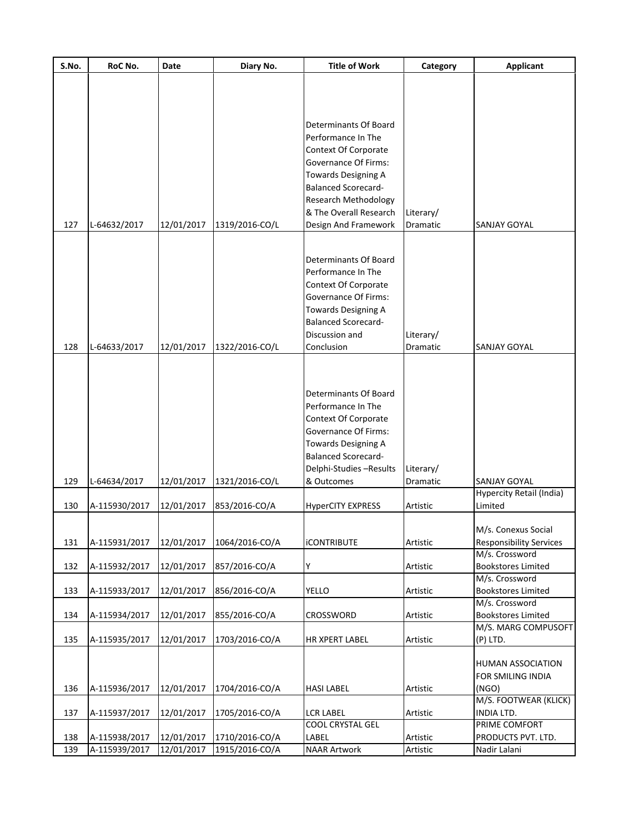| S.No. | RoC No.       | Date       | Diary No.      | <b>Title of Work</b>        | Category        | <b>Applicant</b>                                 |
|-------|---------------|------------|----------------|-----------------------------|-----------------|--------------------------------------------------|
|       |               |            |                |                             |                 |                                                  |
|       |               |            |                |                             |                 |                                                  |
|       |               |            |                |                             |                 |                                                  |
|       |               |            |                | Determinants Of Board       |                 |                                                  |
|       |               |            |                | Performance In The          |                 |                                                  |
|       |               |            |                | Context Of Corporate        |                 |                                                  |
|       |               |            |                | Governance Of Firms:        |                 |                                                  |
|       |               |            |                | <b>Towards Designing A</b>  |                 |                                                  |
|       |               |            |                | <b>Balanced Scorecard-</b>  |                 |                                                  |
|       |               |            |                | Research Methodology        |                 |                                                  |
|       |               |            |                | & The Overall Research      | Literary/       |                                                  |
| 127   | L-64632/2017  | 12/01/2017 | 1319/2016-CO/L | Design And Framework        | Dramatic        | <b>SANJAY GOYAL</b>                              |
|       |               |            |                |                             |                 |                                                  |
|       |               |            |                |                             |                 |                                                  |
|       |               |            |                | Determinants Of Board       |                 |                                                  |
|       |               |            |                | Performance In The          |                 |                                                  |
|       |               |            |                | Context Of Corporate        |                 |                                                  |
|       |               |            |                | <b>Governance Of Firms:</b> |                 |                                                  |
|       |               |            |                | <b>Towards Designing A</b>  |                 |                                                  |
|       |               |            |                | <b>Balanced Scorecard-</b>  |                 |                                                  |
|       |               |            |                | Discussion and              | Literary/       |                                                  |
| 128   | L-64633/2017  | 12/01/2017 | 1322/2016-CO/L | Conclusion                  | Dramatic        | SANJAY GOYAL                                     |
|       |               |            |                |                             |                 |                                                  |
|       |               |            |                |                             |                 |                                                  |
|       |               |            |                |                             |                 |                                                  |
|       |               |            |                | Determinants Of Board       |                 |                                                  |
|       |               |            |                | Performance In The          |                 |                                                  |
|       |               |            |                | Context Of Corporate        |                 |                                                  |
|       |               |            |                | <b>Governance Of Firms:</b> |                 |                                                  |
|       |               |            |                | Towards Designing A         |                 |                                                  |
|       |               |            |                | <b>Balanced Scorecard-</b>  |                 |                                                  |
|       |               |            |                | Delphi-Studies -Results     | Literary/       |                                                  |
| 129   | L-64634/2017  | 12/01/2017 | 1321/2016-CO/L | & Outcomes                  | <b>Dramatic</b> | <b>SANJAY GOYAL</b>                              |
|       |               |            |                |                             |                 | Hypercity Retail (India)                         |
| 130   | A-115930/2017 | 12/01/2017 | 853/2016-CO/A  | <b>HyperCITY EXPRESS</b>    | Artistic        | Limited                                          |
|       |               |            |                |                             |                 | M/s. Conexus Social                              |
|       |               | 12/01/2017 |                | <b>iCONTRIBUTE</b>          |                 |                                                  |
| 131   | A-115931/2017 |            | 1064/2016-CO/A |                             | Artistic        | <b>Responsibility Services</b><br>M/s. Crossword |
| 132   | A-115932/2017 | 12/01/2017 | 857/2016-CO/A  | Y                           | Artistic        | <b>Bookstores Limited</b>                        |
|       |               |            |                |                             |                 | M/s. Crossword                                   |
| 133   | A-115933/2017 | 12/01/2017 | 856/2016-CO/A  | <b>YELLO</b>                | Artistic        | <b>Bookstores Limited</b>                        |
|       |               |            |                |                             |                 | M/s. Crossword                                   |
| 134   | A-115934/2017 | 12/01/2017 | 855/2016-CO/A  | CROSSWORD                   | Artistic        | <b>Bookstores Limited</b>                        |
|       |               |            |                |                             |                 | M/S. MARG COMPUSOFT                              |
| 135   | A-115935/2017 | 12/01/2017 | 1703/2016-CO/A | <b>HR XPERT LABEL</b>       | Artistic        | (P) LTD.                                         |
|       |               |            |                |                             |                 |                                                  |
|       |               |            |                |                             |                 | <b>HUMAN ASSOCIATION</b>                         |
|       |               |            |                |                             |                 | FOR SMILING INDIA                                |
| 136   | A-115936/2017 | 12/01/2017 | 1704/2016-CO/A | <b>HASI LABEL</b>           | Artistic        | (NGO)                                            |
|       |               |            |                |                             |                 | M/S. FOOTWEAR (KLICK)                            |
| 137   | A-115937/2017 | 12/01/2017 | 1705/2016-CO/A | <b>LCR LABEL</b>            | Artistic        | INDIA LTD.                                       |
|       |               |            |                | COOL CRYSTAL GEL            |                 | PRIME COMFORT                                    |
| 138   | A-115938/2017 | 12/01/2017 | 1710/2016-CO/A | LABEL                       | Artistic        | PRODUCTS PVT. LTD.                               |
| 139   | A-115939/2017 | 12/01/2017 | 1915/2016-CO/A | <b>NAAR Artwork</b>         | Artistic        | Nadir Lalani                                     |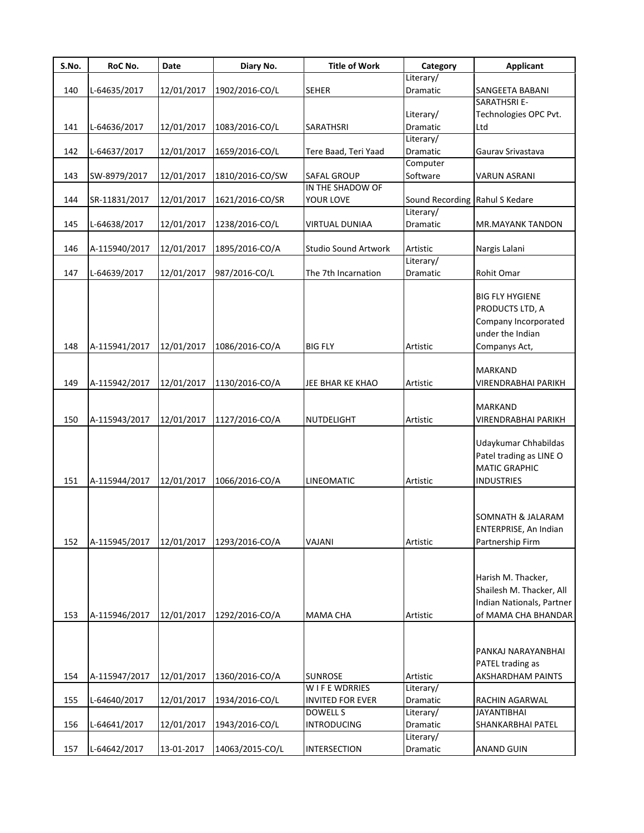| S.No. | RoC No.       | Date       | Diary No.       | <b>Title of Work</b>    | Category                       | Applicant                  |
|-------|---------------|------------|-----------------|-------------------------|--------------------------------|----------------------------|
|       |               |            |                 |                         | Literary/                      |                            |
| 140   | L-64635/2017  | 12/01/2017 | 1902/2016-CO/L  | <b>SEHER</b>            | Dramatic                       | SANGEETA BABANI            |
|       |               |            |                 |                         |                                | <b>SARATHSRI E-</b>        |
|       |               |            |                 |                         | Literary/                      | Technologies OPC Pvt.      |
| 141   | L-64636/2017  | 12/01/2017 | 1083/2016-CO/L  | SARATHSRI               | Dramatic                       | Ltd                        |
|       |               |            |                 |                         | Literary/                      |                            |
| 142   | L-64637/2017  | 12/01/2017 | 1659/2016-CO/L  | Tere Baad, Teri Yaad    | Dramatic                       | Gaurav Srivastava          |
|       |               |            |                 |                         | Computer                       |                            |
| 143   | SW-8979/2017  | 12/01/2017 | 1810/2016-CO/SW | <b>SAFAL GROUP</b>      | Software                       | <b>VARUN ASRANI</b>        |
|       |               |            |                 | IN THE SHADOW OF        |                                |                            |
| 144   | SR-11831/2017 | 12/01/2017 | 1621/2016-CO/SR | YOUR LOVE               | Sound Recording Rahul S Kedare |                            |
|       |               |            |                 |                         | Literary/                      |                            |
| 145   | L-64638/2017  | 12/01/2017 | 1238/2016-CO/L  | <b>VIRTUAL DUNIAA</b>   | Dramatic                       | MR.MAYANK TANDON           |
|       |               |            |                 |                         |                                |                            |
| 146   | A-115940/2017 | 12/01/2017 | 1895/2016-CO/A  | Studio Sound Artwork    | Artistic                       | Nargis Lalani              |
|       |               |            |                 |                         | Literary/                      |                            |
| 147   | L-64639/2017  | 12/01/2017 | 987/2016-CO/L   | The 7th Incarnation     | Dramatic                       | Rohit Omar                 |
|       |               |            |                 |                         |                                |                            |
|       |               |            |                 |                         |                                | <b>BIG FLY HYGIENE</b>     |
|       |               |            |                 |                         |                                | PRODUCTS LTD, A            |
|       |               |            |                 |                         |                                | Company Incorporated       |
|       |               |            |                 |                         |                                | under the Indian           |
| 148   | A-115941/2017 | 12/01/2017 | 1086/2016-CO/A  | <b>BIG FLY</b>          | Artistic                       | Companys Act,              |
|       |               |            |                 |                         |                                |                            |
|       |               |            |                 |                         |                                | MARKAND                    |
| 149   | A-115942/2017 | 12/01/2017 | 1130/2016-CO/A  | JEE BHAR KE KHAO        | Artistic                       | VIRENDRABHAI PARIKH        |
|       |               |            |                 |                         |                                |                            |
|       |               |            |                 |                         |                                | MARKAND                    |
| 150   | A-115943/2017 | 12/01/2017 | 1127/2016-CO/A  | NUTDELIGHT              | Artistic                       | <b>VIRENDRABHAI PARIKH</b> |
|       |               |            |                 |                         |                                |                            |
|       |               |            |                 |                         |                                | Udaykumar Chhabildas       |
|       |               |            |                 |                         |                                | Patel trading as LINE O    |
|       |               |            |                 |                         |                                | <b>MATIC GRAPHIC</b>       |
| 151   | A-115944/2017 | 12/01/2017 | 1066/2016-CO/A  | <b>LINEOMATIC</b>       | Artistic                       | <b>INDUSTRIES</b>          |
|       |               |            |                 |                         |                                |                            |
|       |               |            |                 |                         |                                |                            |
|       |               |            |                 |                         |                                | SOMNATH & JALARAM          |
|       |               |            |                 |                         |                                | ENTERPRISE, An Indian      |
| 152   | A-115945/2017 | 12/01/2017 | 1293/2016-CO/A  | VAJANI                  | Artistic                       | Partnership Firm           |
|       |               |            |                 |                         |                                |                            |
|       |               |            |                 |                         |                                | Harish M. Thacker,         |
|       |               |            |                 |                         |                                |                            |
|       |               |            |                 |                         |                                | Shailesh M. Thacker, All   |
|       |               |            |                 |                         |                                | Indian Nationals, Partner  |
| 153   | A-115946/2017 | 12/01/2017 | 1292/2016-CO/A  | <b>MAMA CHA</b>         | Artistic                       | of MAMA CHA BHANDAR        |
|       |               |            |                 |                         |                                |                            |
|       |               |            |                 |                         |                                |                            |
|       |               |            |                 |                         |                                | PANKAJ NARAYANBHAI         |
|       |               |            |                 |                         |                                | PATEL trading as           |
| 154   | A-115947/2017 | 12/01/2017 | 1360/2016-CO/A  | <b>SUNROSE</b>          | Artistic                       | <b>AKSHARDHAM PAINTS</b>   |
|       |               |            |                 | W I F E WDRRIES         | Literary/                      |                            |
| 155   | L-64640/2017  | 12/01/2017 | 1934/2016-CO/L  | <b>INVITED FOR EVER</b> | Dramatic                       | RACHIN AGARWAL             |
|       |               |            |                 | <b>DOWELL S</b>         | Literary/                      | <b>JAYANTIBHAI</b>         |
| 156   | L-64641/2017  | 12/01/2017 | 1943/2016-CO/L  | <b>INTRODUCING</b>      | Dramatic                       | SHANKARBHAI PATEL          |
|       |               |            |                 |                         | Literary/                      |                            |
| 157   | L-64642/2017  | 13-01-2017 | 14063/2015-CO/L | <b>INTERSECTION</b>     | Dramatic                       | <b>ANAND GUIN</b>          |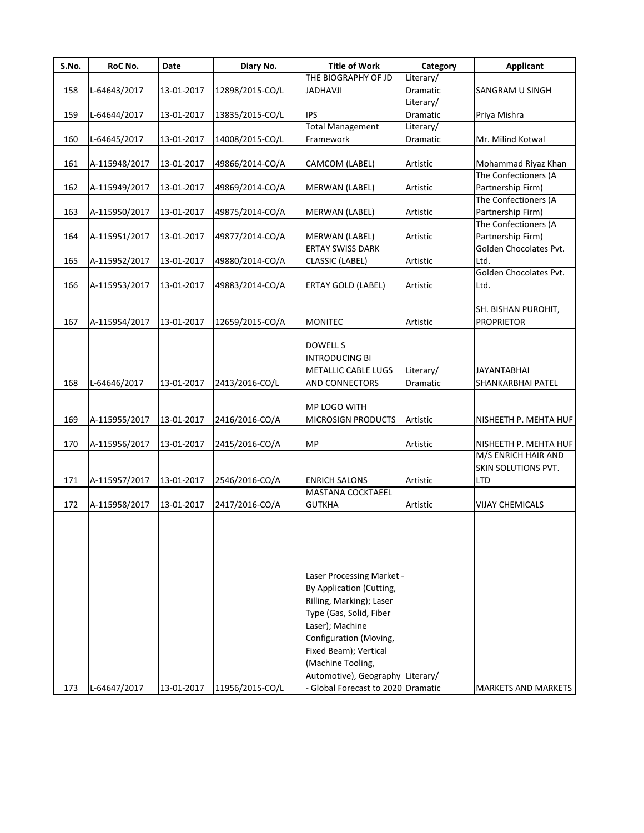| S.No. | RoC No.       | Date       | Diary No.       | <b>Title of Work</b>                                                                                                                                                                                                                      | Category              | Applicant                                   |
|-------|---------------|------------|-----------------|-------------------------------------------------------------------------------------------------------------------------------------------------------------------------------------------------------------------------------------------|-----------------------|---------------------------------------------|
|       |               |            |                 | THE BIOGRAPHY OF JD                                                                                                                                                                                                                       | Literary/             |                                             |
| 158   | L-64643/2017  | 13-01-2017 | 12898/2015-CO/L | <b>JADHAVJI</b>                                                                                                                                                                                                                           | Dramatic              | <b>SANGRAM U SINGH</b>                      |
|       |               |            |                 |                                                                                                                                                                                                                                           | Literary/             |                                             |
| 159   | L-64644/2017  | 13-01-2017 | 13835/2015-CO/L | <b>IPS</b>                                                                                                                                                                                                                                | Dramatic              | Priya Mishra                                |
|       |               |            |                 | <b>Total Management</b>                                                                                                                                                                                                                   | Literary/             |                                             |
| 160   | L-64645/2017  | 13-01-2017 | 14008/2015-CO/L | Framework                                                                                                                                                                                                                                 | Dramatic              | Mr. Milind Kotwal                           |
| 161   |               |            |                 |                                                                                                                                                                                                                                           |                       |                                             |
|       | A-115948/2017 | 13-01-2017 | 49866/2014-CO/A | CAMCOM (LABEL)                                                                                                                                                                                                                            | Artistic              | Mohammad Riyaz Khan<br>The Confectioners (A |
|       |               |            |                 |                                                                                                                                                                                                                                           |                       |                                             |
| 162   | A-115949/2017 | 13-01-2017 | 49869/2014-CO/A | MERWAN (LABEL)                                                                                                                                                                                                                            | Artistic              | Partnership Firm)                           |
|       |               |            |                 |                                                                                                                                                                                                                                           |                       | The Confectioners (A                        |
| 163   | A-115950/2017 | 13-01-2017 | 49875/2014-CO/A | MERWAN (LABEL)                                                                                                                                                                                                                            | Artistic              | Partnership Firm)                           |
|       |               |            |                 |                                                                                                                                                                                                                                           |                       | The Confectioners (A                        |
| 164   | A-115951/2017 | 13-01-2017 | 49877/2014-CO/A | <b>MERWAN (LABEL)</b>                                                                                                                                                                                                                     | Artistic              | Partnership Firm)                           |
|       |               |            |                 | <b>ERTAY SWISS DARK</b>                                                                                                                                                                                                                   |                       | Golden Chocolates Pvt.                      |
| 165   | A-115952/2017 | 13-01-2017 | 49880/2014-CO/A | <b>CLASSIC (LABEL)</b>                                                                                                                                                                                                                    | Artistic              | Ltd.                                        |
|       |               |            |                 |                                                                                                                                                                                                                                           |                       | Golden Chocolates Pvt.                      |
| 166   | A-115953/2017 | 13-01-2017 | 49883/2014-CO/A | <b>ERTAY GOLD (LABEL)</b>                                                                                                                                                                                                                 | Artistic              | Ltd.                                        |
| 167   | A-115954/2017 | 13-01-2017 | 12659/2015-CO/A | <b>MONITEC</b>                                                                                                                                                                                                                            | Artistic              | SH. BISHAN PUROHIT,<br><b>PROPRIETOR</b>    |
| 168   | L-64646/2017  | 13-01-2017 | 2413/2016-CO/L  | DOWELL S<br><b>INTRODUCING BI</b><br><b>METALLIC CABLE LUGS</b><br>AND CONNECTORS                                                                                                                                                         | Literary/<br>Dramatic | JAYANTABHAI<br>SHANKARBHAI PATEL            |
| 169   | A-115955/2017 | 13-01-2017 | 2416/2016-CO/A  | MP LOGO WITH<br><b>MICROSIGN PRODUCTS</b>                                                                                                                                                                                                 | Artistic              | NISHEETH P. MEHTA HUF                       |
|       |               |            |                 |                                                                                                                                                                                                                                           |                       |                                             |
| 170   | A-115956/2017 | 13-01-2017 | 2415/2016-CO/A  | <b>MP</b>                                                                                                                                                                                                                                 | Artistic              | NISHEETH P. MEHTA HUF                       |
|       |               |            |                 |                                                                                                                                                                                                                                           |                       | M/S ENRICH HAIR AND                         |
|       |               |            |                 |                                                                                                                                                                                                                                           |                       | SKIN SOLUTIONS PVT.                         |
| 171   | A-115957/2017 | 13-01-2017 | 2546/2016-CO/A  | <b>ENRICH SALONS</b>                                                                                                                                                                                                                      | Artistic              | <b>LTD</b>                                  |
|       |               |            |                 | <b>MASTANA COCKTAEEL</b>                                                                                                                                                                                                                  |                       |                                             |
| 172   | A-115958/2017 | 13-01-2017 | 2417/2016-CO/A  | <b>GUTKHA</b>                                                                                                                                                                                                                             | Artistic              | VIJAY CHEMICALS                             |
|       |               |            |                 | Laser Processing Market<br>By Application (Cutting,<br>Rilling, Marking); Laser<br>Type (Gas, Solid, Fiber<br>Laser); Machine<br>Configuration (Moving,<br>Fixed Beam); Vertical<br>(Machine Tooling,<br>Automotive), Geography Literary/ |                       |                                             |
| 173   | L-64647/2017  | 13-01-2017 | 11956/2015-CO/L | Global Forecast to 2020 Dramatic                                                                                                                                                                                                          |                       | <b>MARKETS AND MARKETS</b>                  |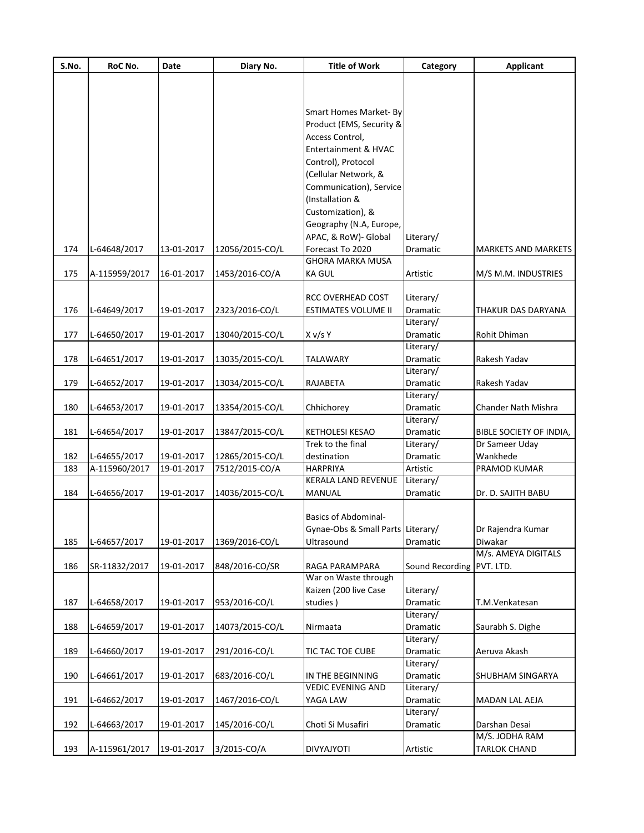| S.No. | RoC No.       | Date       | Diary No.       | <b>Title of Work</b>                       | Category                  | <b>Applicant</b>           |
|-------|---------------|------------|-----------------|--------------------------------------------|---------------------------|----------------------------|
|       |               |            |                 |                                            |                           |                            |
|       |               |            |                 |                                            |                           |                            |
|       |               |            |                 | Smart Homes Market- By                     |                           |                            |
|       |               |            |                 | Product (EMS, Security &                   |                           |                            |
|       |               |            |                 | Access Control,                            |                           |                            |
|       |               |            |                 |                                            |                           |                            |
|       |               |            |                 | Entertainment & HVAC                       |                           |                            |
|       |               |            |                 | Control), Protocol                         |                           |                            |
|       |               |            |                 | (Cellular Network, &                       |                           |                            |
|       |               |            |                 | Communication), Service<br>(Installation & |                           |                            |
|       |               |            |                 | Customization), &                          |                           |                            |
|       |               |            |                 | Geography (N.A, Europe,                    |                           |                            |
|       |               |            |                 | APAC, & RoW)- Global                       | Literary/                 |                            |
| 174   | L-64648/2017  | 13-01-2017 | 12056/2015-CO/L | Forecast To 2020                           | Dramatic                  | <b>MARKETS AND MARKETS</b> |
|       |               |            |                 | <b>GHORA MARKA MUSA</b>                    |                           |                            |
| 175   | A-115959/2017 | 16-01-2017 | 1453/2016-CO/A  | <b>KA GUL</b>                              | Artistic                  | M/S M.M. INDUSTRIES        |
|       |               |            |                 |                                            |                           |                            |
|       |               |            |                 | RCC OVERHEAD COST                          | Literary/                 |                            |
| 176   | L-64649/2017  | 19-01-2017 | 2323/2016-CO/L  | <b>ESTIMATES VOLUME II</b>                 | Dramatic                  | THAKUR DAS DARYANA         |
|       |               |            |                 |                                            | Literary/                 |                            |
| 177   | L-64650/2017  | 19-01-2017 | 13040/2015-CO/L | X v/s Y                                    | Dramatic                  | Rohit Dhiman               |
|       |               |            |                 |                                            | Literary/                 |                            |
| 178   | L-64651/2017  | 19-01-2017 | 13035/2015-CO/L | TALAWARY                                   | Dramatic                  | Rakesh Yadav               |
|       |               |            |                 |                                            | Literary/                 |                            |
| 179   |               | 19-01-2017 |                 | RAJABETA                                   | Dramatic                  | Rakesh Yadav               |
|       | L-64652/2017  |            | 13034/2015-CO/L |                                            | Literary/                 |                            |
|       |               |            |                 |                                            |                           |                            |
| 180   | L-64653/2017  | 19-01-2017 | 13354/2015-CO/L | Chhichorey                                 | Dramatic                  | Chander Nath Mishra        |
|       |               |            |                 |                                            | Literary/                 |                            |
| 181   | L-64654/2017  | 19-01-2017 | 13847/2015-CO/L | <b>KETHOLESI KESAO</b>                     | Dramatic                  | BIBLE SOCIETY OF INDIA,    |
|       |               |            |                 | Trek to the final                          | Literary/                 | Dr Sameer Uday             |
| 182   | L-64655/2017  | 19-01-2017 | 12865/2015-CO/L | destination                                | Dramatic                  | Wankhede                   |
| 183   | A-115960/2017 | 19-01-2017 | 7512/2015-CO/A  | <b>HARPRIYA</b>                            | Artistic                  | PRAMOD KUMAR               |
|       |               |            |                 | KERALA LAND REVENUE                        | Literary/                 |                            |
| 184   | L-64656/2017  | 19-01-2017 | 14036/2015-CO/L | MANUAL                                     | Dramatic                  | Dr. D. SAJITH BABU         |
|       |               |            |                 |                                            |                           |                            |
|       |               |            |                 | Basics of Abdominal-                       |                           |                            |
|       |               |            |                 | Gynae-Obs & Small Parts Literary/          |                           | Dr Rajendra Kumar          |
| 185   | L-64657/2017  | 19-01-2017 | 1369/2016-CO/L  | Ultrasound                                 | Dramatic                  | Diwakar                    |
|       |               |            |                 |                                            |                           | M/s. AMEYA DIGITALS        |
| 186   | SR-11832/2017 | 19-01-2017 | 848/2016-CO/SR  | RAGA PARAMPARA                             | Sound Recording PVT. LTD. |                            |
|       |               |            |                 | War on Waste through                       |                           |                            |
|       |               |            |                 | Kaizen (200 live Case                      | Literary/                 |                            |
| 187   | L-64658/2017  | 19-01-2017 | 953/2016-CO/L   | studies)                                   | Dramatic                  | T.M.Venkatesan             |
|       |               |            |                 |                                            | Literary/                 |                            |
| 188   | L-64659/2017  | 19-01-2017 | 14073/2015-CO/L | Nirmaata                                   | Dramatic                  | Saurabh S. Dighe           |
|       |               |            |                 |                                            | Literary/                 |                            |
| 189   | L-64660/2017  | 19-01-2017 | 291/2016-CO/L   | TIC TAC TOE CUBE                           | Dramatic                  | Aeruva Akash               |
|       |               |            |                 |                                            | Literary/                 |                            |
| 190   | L-64661/2017  | 19-01-2017 | 683/2016-CO/L   | IN THE BEGINNING                           | Dramatic                  | SHUBHAM SINGARYA           |
|       |               |            |                 | <b>VEDIC EVENING AND</b>                   | Literary/                 |                            |
| 191   | L-64662/2017  | 19-01-2017 | 1467/2016-CO/L  | YAGA LAW                                   | Dramatic                  | MADAN LAL AEJA             |
|       |               |            |                 |                                            | Literary/                 |                            |
| 192   | L-64663/2017  | 19-01-2017 | 145/2016-CO/L   | Choti Si Musafiri                          | Dramatic                  | Darshan Desai              |
|       |               |            |                 |                                            |                           | M/S. JODHA RAM             |
| 193   | A-115961/2017 | 19-01-2017 | 3/2015-CO/A     | DIVYAJYOTI                                 | Artistic                  | <b>TARLOK CHAND</b>        |
|       |               |            |                 |                                            |                           |                            |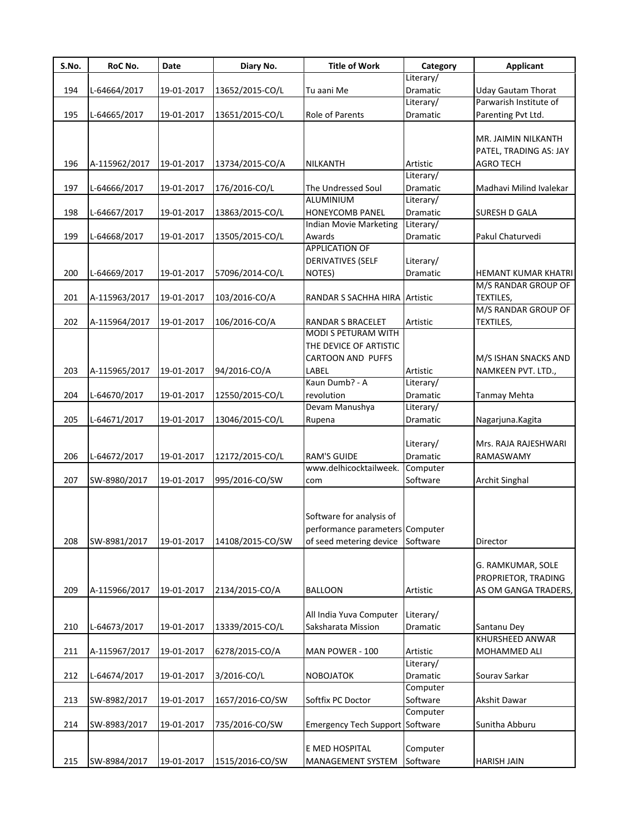| S.No. | RoC No.       | Date       | Diary No.        | <b>Title of Work</b>                          | Category                    | <b>Applicant</b>          |
|-------|---------------|------------|------------------|-----------------------------------------------|-----------------------------|---------------------------|
|       |               |            |                  |                                               | Literary/                   |                           |
| 194   | L-64664/2017  | 19-01-2017 | 13652/2015-CO/L  | Tu aani Me                                    | Dramatic                    | <b>Uday Gautam Thorat</b> |
|       |               |            |                  |                                               | Literary/                   | Parwarish Institute of    |
| 195   | L-64665/2017  | 19-01-2017 | 13651/2015-CO/L  | Role of Parents                               | Dramatic                    | Parenting Pvt Ltd.        |
|       |               |            |                  |                                               |                             | MR. JAIMIN NILKANTH       |
|       |               |            |                  |                                               |                             | PATEL, TRADING AS: JAY    |
| 196   | A-115962/2017 | 19-01-2017 | 13734/2015-CO/A  | NILKANTH                                      | Artistic                    | <b>AGRO TECH</b>          |
|       |               |            |                  |                                               | Literary/                   |                           |
| 197   | L-64666/2017  | 19-01-2017 | 176/2016-CO/L    | The Undressed Soul                            | Dramatic                    | Madhavi Milind Ivalekar   |
|       |               |            |                  | ALUMINIUM                                     | Literary/                   |                           |
| 198   | L-64667/2017  | 19-01-2017 | 13863/2015-CO/L  | HONEYCOMB PANEL                               | Dramatic                    | SURESH D GALA             |
|       |               |            |                  | <b>Indian Movie Marketing</b>                 | Literary/                   |                           |
| 199   | L-64668/2017  | 19-01-2017 | 13505/2015-CO/L  | Awards                                        | Dramatic                    | Pakul Chaturvedi          |
|       |               |            |                  | <b>APPLICATION OF</b>                         |                             |                           |
| 200   | L-64669/2017  | 19-01-2017 | 57096/2014-CO/L  | DERIVATIVES (SELF<br>NOTES)                   | Literary/<br>Dramatic       | HEMANT KUMAR KHATRI       |
|       |               |            |                  |                                               |                             | M/S RANDAR GROUP OF       |
| 201   | A-115963/2017 | 19-01-2017 | 103/2016-CO/A    | RANDAR S SACHHA HIRA Artistic                 |                             | TEXTILES,                 |
|       |               |            |                  |                                               |                             | M/S RANDAR GROUP OF       |
| 202   | A-115964/2017 | 19-01-2017 | 106/2016-CO/A    | RANDAR S BRACELET                             | Artistic                    | TEXTILES,                 |
|       |               |            |                  | MODI S PETURAM WITH                           |                             |                           |
|       |               |            |                  | THE DEVICE OF ARTISTIC                        |                             |                           |
|       |               |            |                  | <b>CARTOON AND PUFFS</b>                      |                             | M/S ISHAN SNACKS AND      |
| 203   | A-115965/2017 | 19-01-2017 | 94/2016-CO/A     | LABEL                                         | Artistic                    | NAMKEEN PVT. LTD.,        |
|       |               |            |                  | Kaun Dumb? - A                                | Literary/                   |                           |
| 204   | L-64670/2017  | 19-01-2017 | 12550/2015-CO/L  | revolution                                    | Dramatic                    | Tanmay Mehta              |
|       |               |            |                  | Devam Manushya                                | Literary/                   |                           |
| 205   | L-64671/2017  | 19-01-2017 | 13046/2015-CO/L  | Rupena                                        | Dramatic                    | Nagarjuna.Kagita          |
|       |               |            |                  |                                               |                             |                           |
|       |               |            |                  |                                               | Literary/                   | Mrs. RAJA RAJESHWARI      |
| 206   | L-64672/2017  | 19-01-2017 | 12172/2015-CO/L  | <b>RAM'S GUIDE</b><br>www.delhicocktailweek.  | <b>Dramatic</b><br>Computer | RAMASWAMY                 |
| 207   | SW-8980/2017  | 19-01-2017 | 995/2016-CO/SW   | com                                           | Software                    | <b>Archit Singhal</b>     |
|       |               |            |                  |                                               |                             |                           |
|       |               |            |                  |                                               |                             |                           |
|       |               |            |                  | Software for analysis of                      |                             |                           |
|       |               |            |                  | performance parameters Computer               |                             |                           |
| 208   | SW-8981/2017  | 19-01-2017 | 14108/2015-CO/SW | of seed metering device Software              |                             | Director                  |
|       |               |            |                  |                                               |                             |                           |
|       |               |            |                  |                                               |                             | G. RAMKUMAR, SOLE         |
|       |               |            |                  |                                               |                             | PROPRIETOR, TRADING       |
| 209   | A-115966/2017 | 19-01-2017 | 2134/2015-CO/A   | <b>BALLOON</b>                                | Artistic                    | AS OM GANGA TRADERS,      |
|       |               |            |                  |                                               |                             |                           |
| 210   | L-64673/2017  | 19-01-2017 | 13339/2015-CO/L  | All India Yuva Computer<br>Saksharata Mission | Literary/<br>Dramatic       | Santanu Dev               |
|       |               |            |                  |                                               |                             | KHURSHEED ANWAR           |
| 211   | A-115967/2017 | 19-01-2017 | 6278/2015-CO/A   | MAN POWER - 100                               | Artistic                    | MOHAMMED ALI              |
|       |               |            |                  |                                               | Literary/                   |                           |
| 212   | L-64674/2017  | 19-01-2017 | 3/2016-CO/L      | <b>NOBOJATOK</b>                              | Dramatic                    | Sourav Sarkar             |
|       |               |            |                  |                                               | Computer                    |                           |
| 213   | SW-8982/2017  | 19-01-2017 | 1657/2016-CO/SW  | Softfix PC Doctor                             | Software                    | Akshit Dawar              |
|       |               |            |                  |                                               | Computer                    |                           |
| 214   | SW-8983/2017  | 19-01-2017 | 735/2016-CO/SW   | Emergency Tech Support Software               |                             | Sunitha Abburu            |
|       |               |            |                  |                                               |                             |                           |
|       |               |            |                  | E MED HOSPITAL                                | Computer                    |                           |
| 215   | SW-8984/2017  | 19-01-2017 | 1515/2016-CO/SW  | MANAGEMENT SYSTEM                             | Software                    | <b>HARISH JAIN</b>        |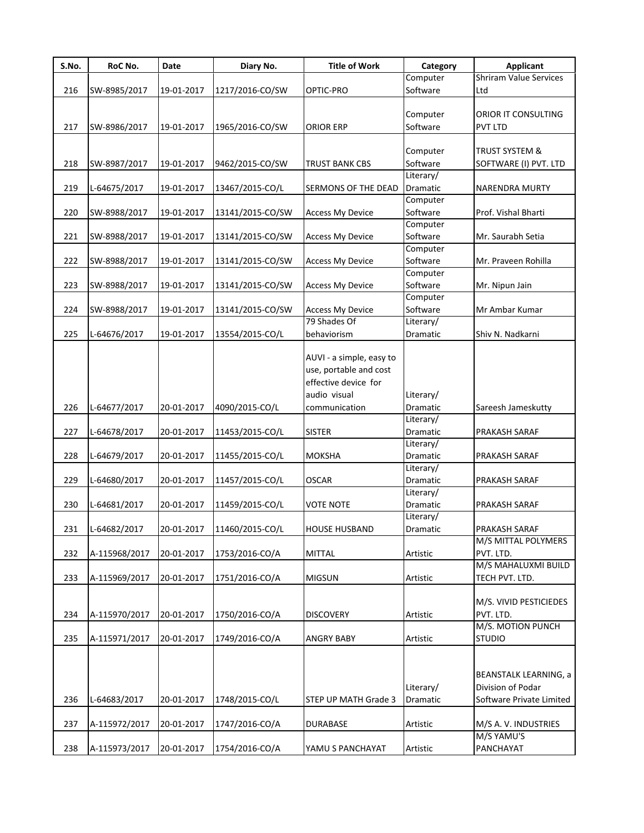| S.No. | RoC No.       | Date       | Diary No.                  | <b>Title of Work</b>                               | Category  | <b>Applicant</b>              |
|-------|---------------|------------|----------------------------|----------------------------------------------------|-----------|-------------------------------|
|       |               |            |                            |                                                    | Computer  | <b>Shriram Value Services</b> |
| 216   | SW-8985/2017  | 19-01-2017 | 1217/2016-CO/SW            | OPTIC-PRO                                          | Software  | Ltd                           |
|       |               |            |                            |                                                    |           |                               |
|       |               |            |                            |                                                    | Computer  | ORIOR IT CONSULTING           |
| 217   | SW-8986/2017  | 19-01-2017 | 1965/2016-CO/SW            | ORIOR ERP                                          | Software  | pvt ltd                       |
|       |               |            |                            |                                                    |           |                               |
|       |               |            |                            |                                                    | Computer  | TRUST SYSTEM &                |
| 218   | SW-8987/2017  | 19-01-2017 | 9462/2015-CO/SW            | <b>TRUST BANK CBS</b>                              | Software  | SOFTWARE (I) PVT. LTD         |
|       |               |            |                            |                                                    | Literary/ |                               |
| 219   | L-64675/2017  | 19-01-2017 | 13467/2015-CO/L            | SERMONS OF THE DEAD                                | Dramatic  | <b>NARENDRA MURTY</b>         |
|       |               |            |                            |                                                    | Computer  |                               |
| 220   | SW-8988/2017  | 19-01-2017 | 13141/2015-CO/SW           | <b>Access My Device</b>                            | Software  | Prof. Vishal Bharti           |
|       |               |            |                            |                                                    | Computer  |                               |
| 221   | SW-8988/2017  | 19-01-2017 | 13141/2015-CO/SW           | <b>Access My Device</b>                            | Software  | Mr. Saurabh Setia             |
|       |               |            |                            |                                                    | Computer  |                               |
| 222   | SW-8988/2017  | 19-01-2017 | 13141/2015-CO/SW           | <b>Access My Device</b>                            | Software  | Mr. Praveen Rohilla           |
|       |               |            |                            |                                                    | Computer  |                               |
| 223   | SW-8988/2017  | 19-01-2017 | 13141/2015-CO/SW           | <b>Access My Device</b>                            | Software  | Mr. Nipun Jain                |
|       |               |            |                            |                                                    | Computer  |                               |
| 224   | SW-8988/2017  | 19-01-2017 | 13141/2015-CO/SW           | <b>Access My Device</b>                            | Software  | Mr Ambar Kumar                |
|       |               |            |                            | 79 Shades Of                                       | Literary/ |                               |
| 225   | L-64676/2017  | 19-01-2017 | 13554/2015-CO/L            | behaviorism                                        | Dramatic  | Shiv N. Nadkarni              |
|       |               |            |                            | AUVI - a simple, easy to<br>use, portable and cost |           |                               |
|       |               |            |                            | effective device for                               |           |                               |
|       |               |            |                            | audio visual                                       | Literary/ |                               |
| 226   | L-64677/2017  | 20-01-2017 | 4090/2015-CO/L             | communication                                      | Dramatic  | Sareesh Jameskutty            |
|       |               |            |                            |                                                    | Literary/ |                               |
| 227   | L-64678/2017  | 20-01-2017 | 11453/2015-CO/L            | <b>SISTER</b>                                      | Dramatic  | PRAKASH SARAF                 |
|       |               |            |                            |                                                    | Literary/ |                               |
| 228   | L-64679/2017  | 20-01-2017 | 11455/2015-CO/L            | <b>MOKSHA</b>                                      | Dramatic  | PRAKASH SARAF                 |
|       |               |            |                            |                                                    | Literary/ |                               |
| 229   | L-64680/2017  | 20-01-2017 | 11457/2015-CO/L            | OSCAR                                              | Dramatic  | PRAKASH SARAF                 |
|       |               |            |                            |                                                    | Literary/ |                               |
| 230   | L-64681/2017  | 20-01-2017 | 11459/2015-CO/L            | <b>VOTE NOTE</b>                                   | Dramatic  | PRAKASH SARAF                 |
|       |               |            |                            |                                                    | Literary/ |                               |
| 231   | L-64682/2017  |            | 20-01-2017 11460/2015-CO/L | <b>HOUSE HUSBAND</b>                               | Dramatic  | PRAKASH SARAF                 |
|       |               |            |                            |                                                    |           | M/S MITTAL POLYMERS           |
| 232   | A-115968/2017 | 20-01-2017 | 1753/2016-CO/A             | <b>MITTAL</b>                                      | Artistic  | PVT. LTD.                     |
|       |               |            |                            |                                                    |           | M/S MAHALUXMI BUILD           |
| 233   | A-115969/2017 | 20-01-2017 | 1751/2016-CO/A             | <b>MIGSUN</b>                                      | Artistic  | TECH PVT. LTD.                |
|       |               |            |                            |                                                    |           |                               |
|       |               |            |                            |                                                    |           | M/S. VIVID PESTICIEDES        |
| 234   | A-115970/2017 | 20-01-2017 | 1750/2016-CO/A             | <b>DISCOVERY</b>                                   | Artistic  | PVT. LTD.                     |
|       |               |            |                            |                                                    |           | M/S. MOTION PUNCH             |
| 235   | A-115971/2017 | 20-01-2017 | 1749/2016-CO/A             | <b>ANGRY BABY</b>                                  | Artistic  | <b>STUDIO</b>                 |
|       |               |            |                            |                                                    |           |                               |
|       |               |            |                            |                                                    |           |                               |
|       |               |            |                            |                                                    |           | <b>BEANSTALK LEARNING, a</b>  |
|       |               |            |                            |                                                    | Literary/ | Division of Podar             |
| 236   | L-64683/2017  | 20-01-2017 | 1748/2015-CO/L             | STEP UP MATH Grade 3                               | Dramatic  | Software Private Limited      |
|       |               |            |                            |                                                    |           |                               |
| 237   | A-115972/2017 | 20-01-2017 | 1747/2016-CO/A             | <b>DURABASE</b>                                    | Artistic  | M/S A. V. INDUSTRIES          |
|       |               |            |                            |                                                    |           | M/S YAMU'S                    |
| 238   | A-115973/2017 | 20-01-2017 | 1754/2016-CO/A             | YAMU S PANCHAYAT                                   | Artistic  | PANCHAYAT                     |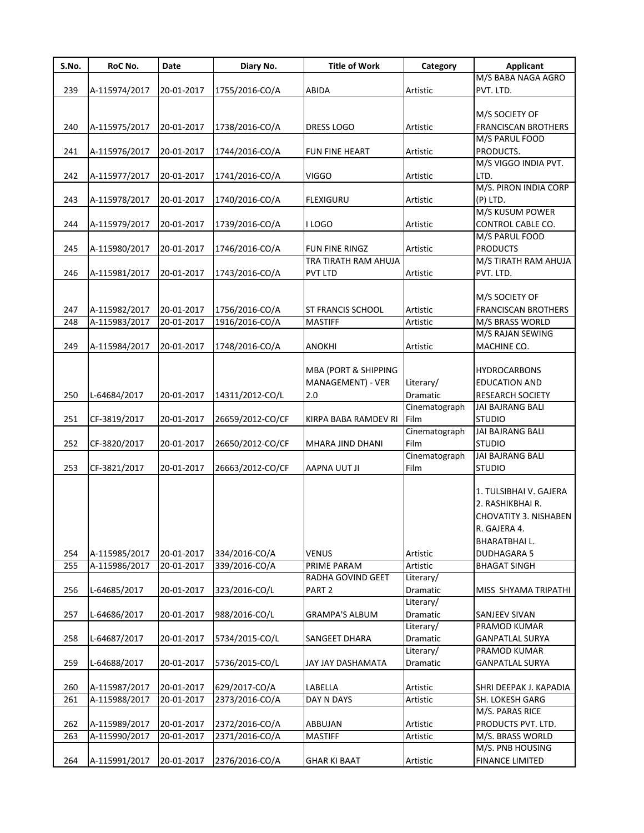| S.No. | RoC No.       | Date       | Diary No.        | <b>Title of Work</b>            | Category              | <b>Applicant</b>                             |
|-------|---------------|------------|------------------|---------------------------------|-----------------------|----------------------------------------------|
|       |               |            |                  |                                 |                       | M/S BABA NAGA AGRO                           |
| 239   | A-115974/2017 | 20-01-2017 | 1755/2016-CO/A   | <b>ABIDA</b>                    | Artistic              | PVT. LTD.                                    |
|       |               |            |                  |                                 |                       |                                              |
|       |               |            |                  |                                 |                       | M/S SOCIETY OF                               |
| 240   | A-115975/2017 | 20-01-2017 | 1738/2016-CO/A   | <b>DRESS LOGO</b>               | Artistic              | <b>FRANCISCAN BROTHERS</b><br>M/S PARUL FOOD |
| 241   | A-115976/2017 | 20-01-2017 | 1744/2016-CO/A   | <b>FUN FINE HEART</b>           | Artistic              | PRODUCTS.                                    |
|       |               |            |                  |                                 |                       | M/S VIGGO INDIA PVT.                         |
| 242   | A-115977/2017 | 20-01-2017 | 1741/2016-CO/A   | <b>VIGGO</b>                    | Artistic              | LTD.                                         |
|       |               |            |                  |                                 |                       | M/S. PIRON INDIA CORP                        |
| 243   | A-115978/2017 | 20-01-2017 | 1740/2016-CO/A   | <b>FLEXIGURU</b>                | Artistic              | $(P)$ LTD.                                   |
|       |               |            |                  |                                 |                       | M/S KUSUM POWER                              |
| 244   | A-115979/2017 | 20-01-2017 | 1739/2016-CO/A   | I LOGO                          | Artistic              | CONTROL CABLE CO.                            |
|       |               |            |                  |                                 |                       | M/S PARUL FOOD                               |
| 245   | A-115980/2017 | 20-01-2017 | 1746/2016-CO/A   | <b>FUN FINE RINGZ</b>           | Artistic              | <b>PRODUCTS</b>                              |
|       |               |            |                  | TRA TIRATH RAM AHUJA            |                       | M/S TIRATH RAM AHUJA                         |
| 246   | A-115981/2017 | 20-01-2017 | 1743/2016-CO/A   | <b>PVT LTD</b>                  | Artistic              | PVT. LTD.                                    |
|       |               |            |                  |                                 |                       |                                              |
| 247   | A-115982/2017 | 20-01-2017 | 1756/2016-CO/A   | <b>ST FRANCIS SCHOOL</b>        | Artistic              | M/S SOCIETY OF<br><b>FRANCISCAN BROTHERS</b> |
|       |               |            |                  |                                 |                       |                                              |
| 248   | A-115983/2017 | 20-01-2017 | 1916/2016-CO/A   | <b>MASTIFF</b>                  | Artistic              | M/S BRASS WORLD<br>M/S RAJAN SEWING          |
| 249   | A-115984/2017 | 20-01-2017 | 1748/2016-CO/A   | <b>ANOKHI</b>                   | Artistic              | MACHINE CO.                                  |
|       |               |            |                  |                                 |                       |                                              |
|       |               |            |                  | <b>MBA (PORT &amp; SHIPPING</b> |                       | <b>HYDROCARBONS</b>                          |
|       |               |            |                  | MANAGEMENT) - VER               | Literary/             | <b>EDUCATION AND</b>                         |
| 250   | L-64684/2017  | 20-01-2017 | 14311/2012-CO/L  | 2.0                             | Dramatic              | <b>RESEARCH SOCIETY</b>                      |
|       |               |            |                  |                                 | Cinematograph         | JAI BAJRANG BALI                             |
| 251   | CF-3819/2017  | 20-01-2017 | 26659/2012-CO/CF | KIRPA BABA RAMDEV RI            | Film                  | <b>STUDIO</b>                                |
|       |               |            |                  |                                 | Cinematograph         | JAI BAJRANG BALI                             |
| 252   | CF-3820/2017  | 20-01-2017 | 26650/2012-CO/CF | MHARA JIND DHANI                | Film                  | <b>STUDIO</b>                                |
|       |               |            |                  |                                 | Cinematograph         | JAI BAJRANG BALI                             |
| 253   | CF-3821/2017  | 20-01-2017 | 26663/2012-CO/CF | <b>AAPNA UUT JI</b>             | Film                  | <b>STUDIO</b>                                |
|       |               |            |                  |                                 |                       |                                              |
|       |               |            |                  |                                 |                       | 1. TULSIBHAI V. GAJERA                       |
|       |               |            |                  |                                 |                       | 2. RASHIKBHAI R.                             |
|       |               |            |                  |                                 |                       | <b>CHOVATITY 3. NISHABEN</b>                 |
|       |               |            |                  |                                 |                       | R. GAJERA 4.                                 |
|       |               |            |                  |                                 |                       | <b>BHARATBHAIL.</b>                          |
| 254   | A-115985/2017 | 20-01-2017 | 334/2016-CO/A    | <b>VENUS</b>                    | Artistic              | <b>DUDHAGARA 5</b>                           |
| 255   | A-115986/2017 | 20-01-2017 | 339/2016-CO/A    | PRIME PARAM                     | Artistic              | <b>BHAGAT SINGH</b>                          |
|       |               |            |                  | RADHA GOVIND GEET               | Literary/             |                                              |
| 256   | L-64685/2017  | 20-01-2017 | 323/2016-CO/L    | PART <sub>2</sub>               | Dramatic              | MISS SHYAMA TRIPATHI                         |
|       |               |            |                  |                                 | Literary/             |                                              |
| 257   | L-64686/2017  | 20-01-2017 | 988/2016-CO/L    | <b>GRAMPA'S ALBUM</b>           | Dramatic<br>Literary/ | SANJEEV SIVAN                                |
| 258   | L-64687/2017  | 20-01-2017 | 5734/2015-CO/L   |                                 | Dramatic              | PRAMOD KUMAR                                 |
|       |               |            |                  | SANGEET DHARA                   | Literary/             | <b>GANPATLAL SURYA</b><br>PRAMOD KUMAR       |
| 259   | L-64688/2017  | 20-01-2017 | 5736/2015-CO/L   | JAY JAY DASHAMATA               | Dramatic              | <b>GANPATLAL SURYA</b>                       |
|       |               |            |                  |                                 |                       |                                              |
| 260   | A-115987/2017 | 20-01-2017 | 629/2017-CO/A    | LABELLA                         | Artistic              | SHRI DEEPAK J. KAPADIA                       |
| 261   | A-115988/2017 | 20-01-2017 | 2373/2016-CO/A   | DAY N DAYS                      | Artistic              | <b>SH. LOKESH GARG</b>                       |
|       |               |            |                  |                                 |                       | M/S. PARAS RICE                              |
| 262   | A-115989/2017 | 20-01-2017 | 2372/2016-CO/A   | <b>ABBUJAN</b>                  | Artistic              | PRODUCTS PVT. LTD.                           |
| 263   | A-115990/2017 | 20-01-2017 | 2371/2016-CO/A   | <b>MASTIFF</b>                  | Artistic              | M/S. BRASS WORLD                             |
|       |               |            |                  |                                 |                       | M/S. PNB HOUSING                             |
| 264   | A-115991/2017 | 20-01-2017 | 2376/2016-CO/A   | <b>GHAR KI BAAT</b>             | Artistic              | <b>FINANCE LIMITED</b>                       |
|       |               |            |                  |                                 |                       |                                              |